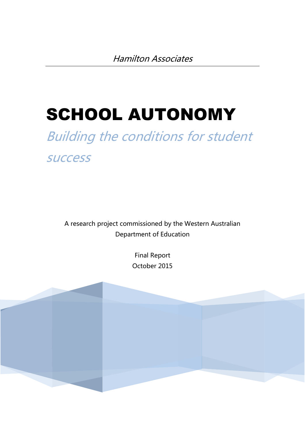# SCHOOL AUTONOMY

## Building the conditions for student success

A research project commissioned by the Western Australian Department of Education

> Final Report October 2015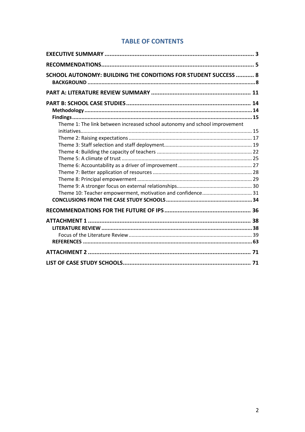## **TABLE OF CONTENTS**

| SCHOOL AUTONOMY: BUILDING THE CONDITIONS FOR STUDENT SUCCESS  8            |  |
|----------------------------------------------------------------------------|--|
|                                                                            |  |
|                                                                            |  |
|                                                                            |  |
|                                                                            |  |
| Theme 1: The link between increased school autonomy and school improvement |  |
|                                                                            |  |
|                                                                            |  |
|                                                                            |  |
|                                                                            |  |
|                                                                            |  |
|                                                                            |  |
|                                                                            |  |
|                                                                            |  |
|                                                                            |  |
|                                                                            |  |
|                                                                            |  |
|                                                                            |  |
| ATTACHMENT 1 ……………………………………………………………………………………… 38                          |  |
|                                                                            |  |
|                                                                            |  |
|                                                                            |  |
|                                                                            |  |
|                                                                            |  |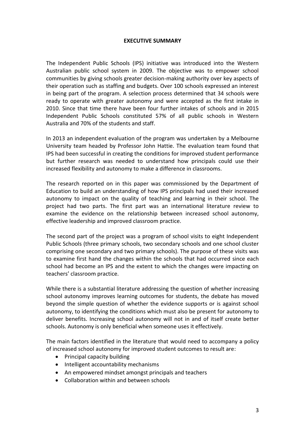## **EXECUTIVE SUMMARY**

The Independent Public Schools (IPS) initiative was introduced into the Western Australian public school system in 2009. The objective was to empower school communities by giving schools greater decision-making authority over key aspects of their operation such as staffing and budgets. Over 100 schools expressed an interest in being part of the program. A selection process determined that 34 schools were ready to operate with greater autonomy and were accepted as the first intake in 2010. Since that time there have been four further intakes of schools and in 2015 Independent Public Schools constituted 57% of all public schools in Western Australia and 70% of the students and staff.

In 2013 an independent evaluation of the program was undertaken by a Melbourne University team headed by Professor John Hattie. The evaluation team found that IPS had been successful in creating the conditions for improved student performance but further research was needed to understand how principals could use their increased flexibility and autonomy to make a difference in classrooms.

The research reported on in this paper was commissioned by the Department of Education to build an understanding of how IPS principals had used their increased autonomy to impact on the quality of teaching and learning in their school. The project had two parts. The first part was an international literature review to examine the evidence on the relationship between increased school autonomy, effective leadership and improved classroom practice.

The second part of the project was a program of school visits to eight Independent Public Schools (three primary schools, two secondary schools and one school cluster comprising one secondary and two primary schools). The purpose of these visits was to examine first hand the changes within the schools that had occurred since each school had become an IPS and the extent to which the changes were impacting on teachers' classroom practice.

While there is a substantial literature addressing the question of whether increasing school autonomy improves learning outcomes for students, the debate has moved beyond the simple question of whether the evidence supports or is against school autonomy, to identifying the conditions which must also be present for autonomy to deliver benefits. Increasing school autonomy will not in and of itself create better schools. Autonomy is only beneficial when someone uses it effectively.

The main factors identified in the literature that would need to accompany a policy of increased school autonomy for improved student outcomes to result are:

- Principal capacity building
- Intelligent accountability mechanisms
- An empowered mindset amongst principals and teachers
- Collaboration within and between schools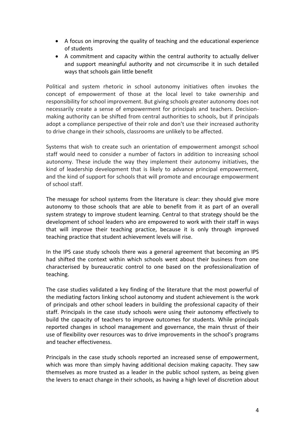- A focus on improving the quality of teaching and the educational experience of students
- A commitment and capacity within the central authority to actually deliver and support meaningful authority and not circumscribe it in such detailed ways that schools gain little benefit

Political and system rhetoric in school autonomy initiatives often invokes the concept of empowerment of those at the local level to take ownership and responsibility for school improvement. But giving schools greater autonomy does not necessarily create a sense of empowerment for principals and teachers. Decisionmaking authority can be shifted from central authorities to schools, but if principals adopt a compliance perspective of their role and don't use their increased authority to drive change in their schools, classrooms are unlikely to be affected.

Systems that wish to create such an orientation of empowerment amongst school staff would need to consider a number of factors in addition to increasing school autonomy. These include the way they implement their autonomy initiatives, the kind of leadership development that is likely to advance principal empowerment, and the kind of support for schools that will promote and encourage empowerment of school staff.

The message for school systems from the literature is clear: they should give more autonomy to those schools that are able to benefit from it as part of an overall system strategy to improve student learning. Central to that strategy should be the development of school leaders who are empowered to work with their staff in ways that will improve their teaching practice, because it is only through improved teaching practice that student achievement levels will rise.

In the IPS case study schools there was a general agreement that becoming an IPS had shifted the context within which schools went about their business from one characterised by bureaucratic control to one based on the professionalization of teaching.

The case studies validated a key finding of the literature that the most powerful of the mediating factors linking school autonomy and student achievement is the work of principals and other school leaders in building the professional capacity of their staff. Principals in the case study schools were using their autonomy effectively to build the capacity of teachers to improve outcomes for students. While principals reported changes in school management and governance, the main thrust of their use of flexibility over resources was to drive improvements in the school's programs and teacher effectiveness.

Principals in the case study schools reported an increased sense of empowerment, which was more than simply having additional decision making capacity. They saw themselves as more trusted as a leader in the public school system, as being given the levers to enact change in their schools, as having a high level of discretion about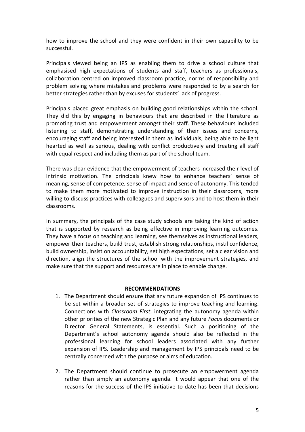how to improve the school and they were confident in their own capability to be successful.

Principals viewed being an IPS as enabling them to drive a school culture that emphasised high expectations of students and staff, teachers as professionals, collaboration centred on improved classroom practice, norms of responsibility and problem solving where mistakes and problems were responded to by a search for better strategies rather than by excuses for students' lack of progress.

Principals placed great emphasis on building good relationships within the school. They did this by engaging in behaviours that are described in the literature as promoting trust and empowerment amongst their staff. These behaviours included listening to staff, demonstrating understanding of their issues and concerns, encouraging staff and being interested in them as individuals, being able to be light hearted as well as serious, dealing with conflict productively and treating all staff with equal respect and including them as part of the school team.

There was clear evidence that the empowerment of teachers increased their level of intrinsic motivation. The principals knew how to enhance teachers' sense of meaning, sense of competence, sense of impact and sense of autonomy. This tended to make them more motivated to improve instruction in their classrooms, more willing to discuss practices with colleagues and supervisors and to host them in their classrooms.

In summary, the principals of the case study schools are taking the kind of action that is supported by research as being effective in improving learning outcomes. They have a focus on teaching and learning, see themselves as instructional leaders, empower their teachers, build trust, establish strong relationships, instil confidence, build ownership, insist on accountability, set high expectations, set a clear vision and direction, align the structures of the school with the improvement strategies, and make sure that the support and resources are in place to enable change.

## **RECOMMENDATIONS**

- 1. The Department should ensure that any future expansion of IPS continues to be set within a broader set of strategies to improve teaching and learning. Connections with *Classroom First*, integrating the autonomy agenda within other priorities of the new Strategic Plan and any future *Focus* documents or Director General Statements, is essential. Such a positioning of the Department's school autonomy agenda should also be reflected in the professional learning for school leaders associated with any further expansion of IPS. Leadership and management by IPS principals need to be centrally concerned with the purpose or aims of education.
- 2. The Department should continue to prosecute an empowerment agenda rather than simply an autonomy agenda. It would appear that one of the reasons for the success of the IPS initiative to date has been that decisions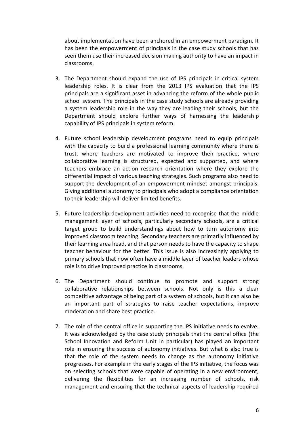about implementation have been anchored in an empowerment paradigm. It has been the empowerment of principals in the case study schools that has seen them use their increased decision making authority to have an impact in classrooms.

- 3. The Department should expand the use of IPS principals in critical system leadership roles. It is clear from the 2013 IPS evaluation that the IPS principals are a significant asset in advancing the reform of the whole public school system. The principals in the case study schools are already providing a system leadership role in the way they are leading their schools, but the Department should explore further ways of harnessing the leadership capability of IPS principals in system reform.
- 4. Future school leadership development programs need to equip principals with the capacity to build a professional learning community where there is trust, where teachers are motivated to improve their practice, where collaborative learning is structured, expected and supported, and where teachers embrace an action research orientation where they explore the differential impact of various teaching strategies. Such programs also need to support the development of an empowerment mindset amongst principals. Giving additional autonomy to principals who adopt a compliance orientation to their leadership will deliver limited benefits.
- 5. Future leadership development activities need to recognise that the middle management layer of schools, particularly secondary schools, are a critical target group to build understandings about how to turn autonomy into improved classroom teaching. Secondary teachers are primarily influenced by their learning area head, and that person needs to have the capacity to shape teacher behaviour for the better. This issue is also increasingly applying to primary schools that now often have a middle layer of teacher leaders whose role is to drive improved practice in classrooms.
- 6. The Department should continue to promote and support strong collaborative relationships between schools. Not only is this a clear competitive advantage of being part of a system of schools, but it can also be an important part of strategies to raise teacher expectations, improve moderation and share best practice.
- 7. The role of the central office in supporting the IPS initiative needs to evolve. It was acknowledged by the case study principals that the central office (the School Innovation and Reform Unit in particular) has played an important role in ensuring the success of autonomy initiatives. But what is also true is that the role of the system needs to change as the autonomy initiative progresses. For example in the early stages of the IPS initiative, the focus was on selecting schools that were capable of operating in a new environment, delivering the flexibilities for an increasing number of schools, risk management and ensuring that the technical aspects of leadership required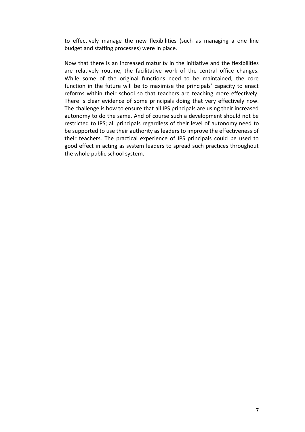to effectively manage the new flexibilities (such as managing a one line budget and staffing processes) were in place.

Now that there is an increased maturity in the initiative and the flexibilities are relatively routine, the facilitative work of the central office changes. While some of the original functions need to be maintained, the core function in the future will be to maximise the principals' capacity to enact reforms within their school so that teachers are teaching more effectively. There is clear evidence of some principals doing that very effectively now. The challenge is how to ensure that all IPS principals are using their increased autonomy to do the same. And of course such a development should not be restricted to IPS; all principals regardless of their level of autonomy need to be supported to use their authority as leaders to improve the effectiveness of their teachers. The practical experience of IPS principals could be used to good effect in acting as system leaders to spread such practices throughout the whole public school system.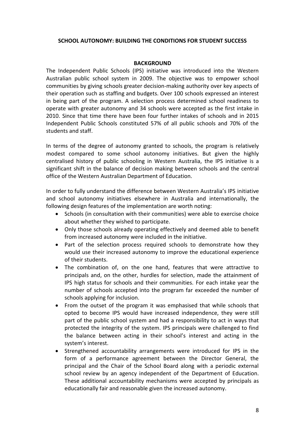#### **SCHOOL AUTONOMY: BUILDING THE CONDITIONS FOR STUDENT SUCCESS**

#### **BACKGROUND**

The Independent Public Schools (IPS) initiative was introduced into the Western Australian public school system in 2009. The objective was to empower school communities by giving schools greater decision-making authority over key aspects of their operation such as staffing and budgets. Over 100 schools expressed an interest in being part of the program. A selection process determined school readiness to operate with greater autonomy and 34 schools were accepted as the first intake in 2010. Since that time there have been four further intakes of schools and in 2015 Independent Public Schools constituted 57% of all public schools and 70% of the students and staff.

In terms of the degree of autonomy granted to schools, the program is relatively modest compared to some school autonomy initiatives. But given the highly centralised history of public schooling in Western Australia, the IPS initiative is a significant shift in the balance of decision making between schools and the central office of the Western Australian Department of Education.

In order to fully understand the difference between Western Australia's IPS initiative and school autonomy initiatives elsewhere in Australia and internationally, the following design features of the implementation are worth noting:

- Schools (in consultation with their communities) were able to exercise choice about whether they wished to participate.
- Only those schools already operating effectively and deemed able to benefit from increased autonomy were included in the initiative.
- Part of the selection process required schools to demonstrate how they would use their increased autonomy to improve the educational experience of their students.
- The combination of, on the one hand, features that were attractive to principals and, on the other, hurdles for selection, made the attainment of IPS high status for schools and their communities. For each intake year the number of schools accepted into the program far exceeded the number of schools applying for inclusion.
- From the outset of the program it was emphasised that while schools that opted to become IPS would have increased independence, they were still part of the public school system and had a responsibility to act in ways that protected the integrity of the system. IPS principals were challenged to find the balance between acting in their school's interest and acting in the system's interest.
- Strengthened accountability arrangements were introduced for IPS in the form of a performance agreement between the Director General, the principal and the Chair of the School Board along with a periodic external school review by an agency independent of the Department of Education. These additional accountability mechanisms were accepted by principals as educationally fair and reasonable given the increased autonomy.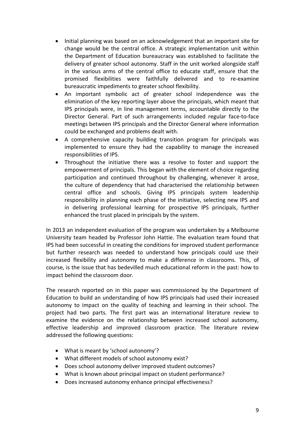- Initial planning was based on an acknowledgement that an important site for change would be the central office. A strategic implementation unit within the Department of Education bureaucracy was established to facilitate the delivery of greater school autonomy. Staff in the unit worked alongside staff in the various arms of the central office to educate staff, ensure that the promised flexibilities were faithfully delivered and to re-examine bureaucratic impediments to greater school flexibility.
- An important symbolic act of greater school independence was the elimination of the key reporting layer above the principals, which meant that IPS principals were, in line management terms, accountable directly to the Director General. Part of such arrangements included regular face-to-face meetings between IPS principals and the Director General where information could be exchanged and problems dealt with.
- A comprehensive capacity building transition program for principals was implemented to ensure they had the capability to manage the increased responsibilities of IPS.
- Throughout the initiative there was a resolve to foster and support the empowerment of principals. This began with the element of choice regarding participation and continued throughout by challenging, whenever it arose, the culture of dependency that had characterised the relationship between central office and schools. Giving IPS principals system leadership responsibility in planning each phase of the initiative, selecting new IPS and in delivering professional learning for prospective IPS principals, further enhanced the trust placed in principals by the system.

In 2013 an independent evaluation of the program was undertaken by a Melbourne University team headed by Professor John Hattie. The evaluation team found that IPS had been successful in creating the conditions for improved student performance but further research was needed to understand how principals could use their increased flexibility and autonomy to make a difference in classrooms. This, of course, is the issue that has bedevilled much educational reform in the past: how to impact behind the classroom door.

The research reported on in this paper was commissioned by the Department of Education to build an understanding of how IPS principals had used their increased autonomy to impact on the quality of teaching and learning in their school. The project had two parts. The first part was an international literature review to examine the evidence on the relationship between increased school autonomy, effective leadership and improved classroom practice. The literature review addressed the following questions:

- What is meant by 'school autonomy'?
- What different models of school autonomy exist?
- Does school autonomy deliver improved student outcomes?
- What is known about principal impact on student performance?
- Does increased autonomy enhance principal effectiveness?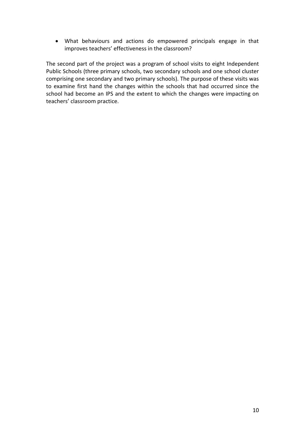What behaviours and actions do empowered principals engage in that improves teachers' effectiveness in the classroom?

The second part of the project was a program of school visits to eight Independent Public Schools (three primary schools, two secondary schools and one school cluster comprising one secondary and two primary schools). The purpose of these visits was to examine first hand the changes within the schools that had occurred since the school had become an IPS and the extent to which the changes were impacting on teachers' classroom practice.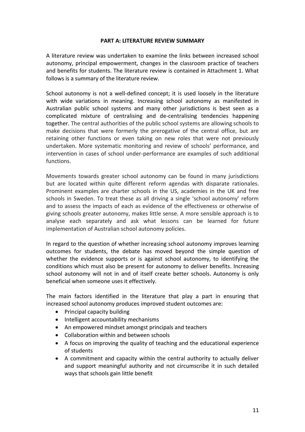## **PART A: LITERATURE REVIEW SUMMARY**

A literature review was undertaken to examine the links between increased school autonomy, principal empowerment, changes in the classroom practice of teachers and benefits for students. The literature review is contained in Attachment 1. What follows is a summary of the literature review.

School autonomy is not a well-defined concept; it is used loosely in the literature with wide variations in meaning. Increasing school autonomy as manifested in Australian public school systems and many other jurisdictions is best seen as a complicated mixture of centralising and de-centralising tendencies happening together. The central authorities of the public school systems are allowing schools to make decisions that were formerly the prerogative of the central office, but are retaining other functions or even taking on new roles that were not previously undertaken. More systematic monitoring and review of schools' performance, and intervention in cases of school under-performance are examples of such additional functions.

Movements towards greater school autonomy can be found in many jurisdictions but are located within quite different reform agendas with disparate rationales. Prominent examples are charter schools in the US, academies in the UK and free schools in Sweden. To treat these as all driving a single 'school autonomy' reform and to assess the impacts of each as evidence of the effectiveness or otherwise of giving schools greater autonomy, makes little sense. A more sensible approach is to analyse each separately and ask what lessons can be learned for future implementation of Australian school autonomy policies.

In regard to the question of whether increasing school autonomy improves learning outcomes for students, the debate has moved beyond the simple question of whether the evidence supports or is against school autonomy, to identifying the conditions which must also be present for autonomy to deliver benefits. Increasing school autonomy will not in and of itself create better schools. Autonomy is only beneficial when someone uses it effectively.

The main factors identified in the literature that play a part in ensuring that increased school autonomy produces improved student outcomes are:

- Principal capacity building
- Intelligent accountability mechanisms
- An empowered mindset amongst principals and teachers
- Collaboration within and between schools
- A focus on improving the quality of teaching and the educational experience of students
- A commitment and capacity within the central authority to actually deliver and support meaningful authority and not circumscribe it in such detailed ways that schools gain little benefit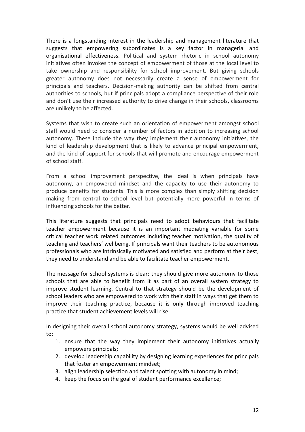There is a longstanding interest in the leadership and management literature that suggests that empowering subordinates is a key factor in managerial and organisational effectiveness. Political and system rhetoric in school autonomy initiatives often invokes the concept of empowerment of those at the local level to take ownership and responsibility for school improvement. But giving schools greater autonomy does not necessarily create a sense of empowerment for principals and teachers. Decision-making authority can be shifted from central authorities to schools, but if principals adopt a compliance perspective of their role and don't use their increased authority to drive change in their schools, classrooms are unlikely to be affected.

Systems that wish to create such an orientation of empowerment amongst school staff would need to consider a number of factors in addition to increasing school autonomy. These include the way they implement their autonomy initiatives, the kind of leadership development that is likely to advance principal empowerment, and the kind of support for schools that will promote and encourage empowerment of school staff.

From a school improvement perspective, the ideal is when principals have autonomy, an empowered mindset and the capacity to use their autonomy to produce benefits for students. This is more complex than simply shifting decision making from central to school level but potentially more powerful in terms of influencing schools for the better.

This literature suggests that principals need to adopt behaviours that facilitate teacher empowerment because it is an important mediating variable for some critical teacher work related outcomes including teacher motivation, the quality of teaching and teachers' wellbeing. If principals want their teachers to be autonomous professionals who are intrinsically motivated and satisfied and perform at their best, they need to understand and be able to facilitate teacher empowerment.

The message for school systems is clear: they should give more autonomy to those schools that are able to benefit from it as part of an overall system strategy to improve student learning. Central to that strategy should be the development of school leaders who are empowered to work with their staff in ways that get them to improve their teaching practice, because it is only through improved teaching practice that student achievement levels will rise.

In designing their overall school autonomy strategy, systems would be well advised to:

- 1. ensure that the way they implement their autonomy initiatives actually empowers principals;
- 2. develop leadership capability by designing learning experiences for principals that foster an empowerment mindset;
- 3. align leadership selection and talent spotting with autonomy in mind;
- 4. keep the focus on the goal of student performance excellence;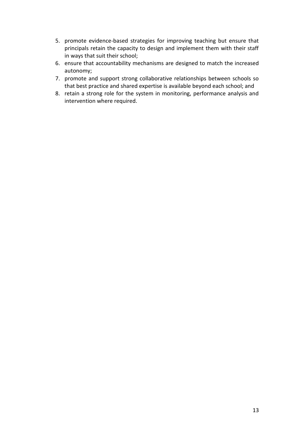- 5. promote evidence-based strategies for improving teaching but ensure that principals retain the capacity to design and implement them with their staff in ways that suit their school;
- 6. ensure that accountability mechanisms are designed to match the increased autonomy;
- 7. promote and support strong collaborative relationships between schools so that best practice and shared expertise is available beyond each school; and
- 8. retain a strong role for the system in monitoring, performance analysis and intervention where required.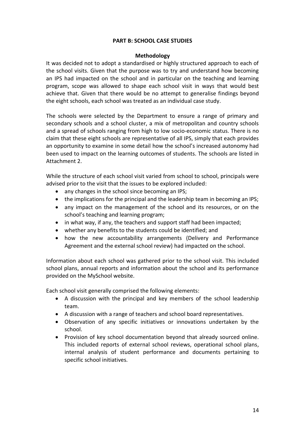## **PART B: SCHOOL CASE STUDIES**

## **Methodology**

It was decided not to adopt a standardised or highly structured approach to each of the school visits. Given that the purpose was to try and understand how becoming an IPS had impacted on the school and in particular on the teaching and learning program, scope was allowed to shape each school visit in ways that would best achieve that. Given that there would be no attempt to generalise findings beyond the eight schools, each school was treated as an individual case study.

The schools were selected by the Department to ensure a range of primary and secondary schools and a school cluster, a mix of metropolitan and country schools and a spread of schools ranging from high to low socio-economic status. There is no claim that these eight schools are representative of all IPS, simply that each provides an opportunity to examine in some detail how the school's increased autonomy had been used to impact on the learning outcomes of students. The schools are listed in Attachment 2.

While the structure of each school visit varied from school to school, principals were advised prior to the visit that the issues to be explored included:

- any changes in the school since becoming an IPS;
- the implications for the principal and the leadership team in becoming an IPS;
- any impact on the management of the school and its resources, or on the school's teaching and learning program;
- in what way, if any, the teachers and support staff had been impacted;
- whether any benefits to the students could be identified; and
- how the new accountability arrangements (Delivery and Performance Agreement and the external school review) had impacted on the school.

Information about each school was gathered prior to the school visit. This included school plans, annual reports and information about the school and its performance provided on the MySchool website.

Each school visit generally comprised the following elements:

- A discussion with the principal and key members of the school leadership team.
- A discussion with a range of teachers and school board representatives.
- Observation of any specific initiatives or innovations undertaken by the school.
- Provision of key school documentation beyond that already sourced online. This included reports of external school reviews, operational school plans, internal analysis of student performance and documents pertaining to specific school initiatives.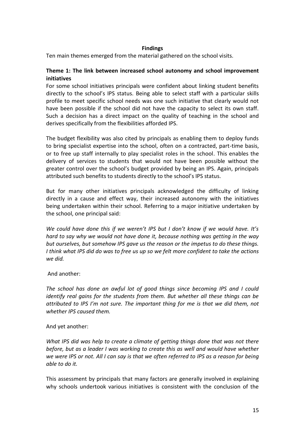## **Findings**

Ten main themes emerged from the material gathered on the school visits.

## **Theme 1: The link between increased school autonomy and school improvement initiatives**

For some school initiatives principals were confident about linking student benefits directly to the school's IPS status. Being able to select staff with a particular skills profile to meet specific school needs was one such initiative that clearly would not have been possible if the school did not have the capacity to select its own staff. Such a decision has a direct impact on the quality of teaching in the school and derives specifically from the flexibilities afforded IPS.

The budget flexibility was also cited by principals as enabling them to deploy funds to bring specialist expertise into the school, often on a contracted, part-time basis, or to free up staff internally to play specialist roles in the school. This enables the delivery of services to students that would not have been possible without the greater control over the school's budget provided by being an IPS. Again, principals attributed such benefits to students directly to the school's IPS status.

But for many other initiatives principals acknowledged the difficulty of linking directly in a cause and effect way, their increased autonomy with the initiatives being undertaken within their school. Referring to a major initiative undertaken by the school, one principal said:

*We could have done this if we weren't IPS but I don't know if we would have. It's hard to say why we would not have done it, because nothing was getting in the way but ourselves, but somehow IPS gave us the reason or the impetus to do these things. I think what IPS did do was to free us up so we felt more confident to take the actions we did.*

## And another:

*The school has done an awful lot of good things since becoming IPS and I could identify real gains for the students from them. But whether all these things can be attributed to IPS I'm not sure. The important thing for me is that we did them, not whether IPS caused them.*

## And yet another:

*What IPS did was help to create a climate of getting things done that was not there before, but as a leader I was working to create this as well and would have whether we were IPS or not. All I can say is that we often referred to IPS as a reason for being able to do it.*

This assessment by principals that many factors are generally involved in explaining why schools undertook various initiatives is consistent with the conclusion of the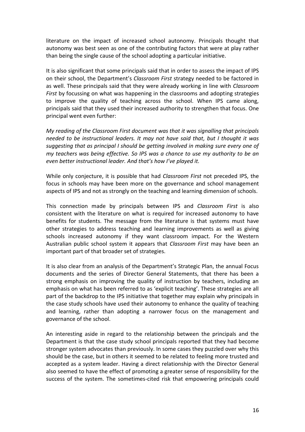literature on the impact of increased school autonomy. Principals thought that autonomy was best seen as one of the contributing factors that were at play rather than being the single cause of the school adopting a particular initiative.

It is also significant that some principals said that in order to assess the impact of IPS on their school, the Department's *Classroom First* strategy needed to be factored in as well. These principals said that they were already working in line with *Classroom First* by focussing on what was happening in the classrooms and adopting strategies to improve the quality of teaching across the school. When IPS came along, principals said that they used their increased authority to strengthen that focus. One principal went even further:

*My reading of the Classroom First document was that it was signalling that principals needed to be instructional leaders. It may not have said that, but I thought it was suggesting that as principal I should be getting involved in making sure every one of my teachers was being effective. So IPS was a chance to use my authority to be an even better instructional leader. And that's how I've played it.*

While only conjecture, it is possible that had *Classroom First* not preceded IPS, the focus in schools may have been more on the governance and school management aspects of IPS and not as strongly on the teaching and learning dimension of schools.

This connection made by principals between IPS and *Classroom First* is also consistent with the literature on what is required for increased autonomy to have benefits for students. The message from the literature is that systems must have other strategies to address teaching and learning improvements as well as giving schools increased autonomy if they want classroom impact. For the Western Australian public school system it appears that *Classroom First* may have been an important part of that broader set of strategies.

It is also clear from an analysis of the Department's Strategic Plan, the annual Focus documents and the series of Director General Statements, that there has been a strong emphasis on improving the quality of instruction by teachers, including an emphasis on what has been referred to as 'explicit teaching'. These strategies are all part of the backdrop to the IPS initiative that together may explain why principals in the case study schools have used their autonomy to enhance the quality of teaching and learning, rather than adopting a narrower focus on the management and governance of the school.

An interesting aside in regard to the relationship between the principals and the Department is that the case study school principals reported that they had become stronger system advocates than previously. In some cases they puzzled over why this should be the case, but in others it seemed to be related to feeling more trusted and accepted as a system leader. Having a direct relationship with the Director General also seemed to have the effect of promoting a greater sense of responsibility for the success of the system. The sometimes-cited risk that empowering principals could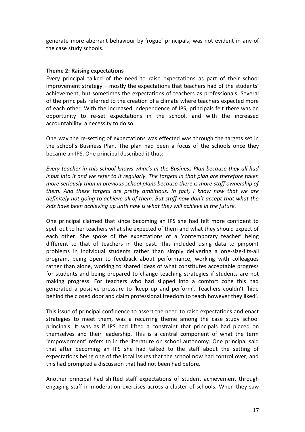generate more aberrant behaviour by 'rogue' principals, was not evident in any of the case study schools.

#### **Theme 2: Raising expectations**

Every principal talked of the need to raise expectations as part of their school improvement strategy – mostly the expectations that teachers had of the students' achievement, but sometimes the expectations of teachers as professionals. Several of the principals referred to the creation of a climate where teachers expected more of each other. With the increased independence of IPS, principals felt there was an opportunity to re-set expectations in the school, and with the increased accountability, a necessity to do so.

One way the re-setting of expectations was effected was through the targets set in the school's Business Plan. The plan had been a focus of the schools once they became an IPS. One principal described it thus:

*Every teacher in this school knows what's in the Business Plan because they all had input into it and we refer to it regularly. The targets in that plan are therefore taken more seriously than in previous school plans because there is more staff ownership of them. And these targets are pretty ambitious. In fact, I know now that we are definitely not going to achieve all of them. But staff now don't accept that what the kids have been achieving up until now is what they will achieve in the future.* 

One principal claimed that since becoming an IPS she had felt more confident to spell out to her teachers what she expected of them and what they should expect of each other. She spoke of the expectations of a 'contemporary teacher' being different to that of teachers in the past. This included using data to pinpoint problems in individual students rather than simply delivering a one-size-fits-all program, being open to feedback about performance, working with colleagues rather than alone, working to shared ideas of what constitutes acceptable progress for students and being prepared to change teaching strategies if students are not making progress. For teachers who had slipped into a comfort zone this had generated a positive pressure to 'keep up and perform'. Teachers couldn't 'hide behind the closed door and claim professional freedom to teach however they liked'.

This issue of principal confidence to assert the need to raise expectations and enact strategies to meet them, was a recurring theme among the case study school principals. It was as if IPS had lifted a constraint that principals had placed on themselves and their leadership. This is a central component of what the term 'empowerment' refers to in the literature on school autonomy. One principal said that after becoming an IPS she had talked to the staff about the setting of expectations being one of the local issues that the school now had control over, and this had prompted a discussion that had not been had before.

Another principal had shifted staff expectations of student achievement through engaging staff in moderation exercises across a cluster of schools. When they saw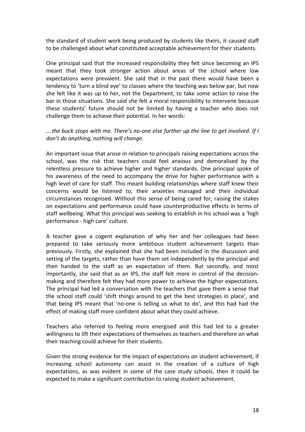the standard of student work being produced by students like theirs, it caused staff to be challenged about what constituted acceptable achievement for their students.

One principal said that the increased responsibility they felt since becoming an IPS meant that they took stronger action about areas of the school where low expectations were prevalent. She said that in the past there would have been a tendency to 'turn a blind eye' to classes where the teaching was below par, but now she felt like it was up to her, not the Department, to take some action to raise the bar in those situations. She said she felt a moral responsibility to intervene because these students' future should not be limited by having a teacher who does not challenge them to achieve their potential. In her words:

## *….the buck stops with me. There's no-one else further up the line to get involved. If I don't do anything, nothing will change.*

An important issue that arose in relation to principals raising expectations across the school, was the risk that teachers could feel anxious and demoralised by the relentless pressure to achieve higher and higher standards. One principal spoke of his awareness of the need to accompany the drive for higher performance with a high level of care for staff. This meant building relationships where staff knew their concerns would be listened to, their anxieties managed and their individual circumstances recognised. Without this sense of being cared for, raising the stakes on expectations and performance could have counterproductive effects in terms of staff wellbeing. What this principal was seeking to establish in his school was a 'high performance - high care' culture.

A teacher gave a cogent explanation of why her and her colleagues had been prepared to take seriously more ambitious student achievement targets than previously. Firstly, she explained that she had been included in the discussion and setting of the targets, rather than have them set independently by the principal and then handed to the staff as an expectation of them. But secondly, and most importantly, she said that as an IPS, the staff felt more in control of the decisionmaking and therefore felt they had more power to achieve the higher expectations. The principal had led a conversation with the teachers that gave them a sense that the school staff could 'shift things around to get the best strategies in place', and that being IPS meant that 'no-one is telling us what to do', and this had had the effect of making staff more confident about what they could achieve.

Teachers also referred to feeling more energised and this had led to a greater willingness to lift their expectations of themselves as teachers and therefore on what their teaching could achieve for their students.

Given the strong evidence for the impact of expectations on student achievement, if increasing school autonomy can assist in the creation of a culture of high expectations, as was evident in some of the case study schools, then it could be expected to make a significant contribution to raising student achievement.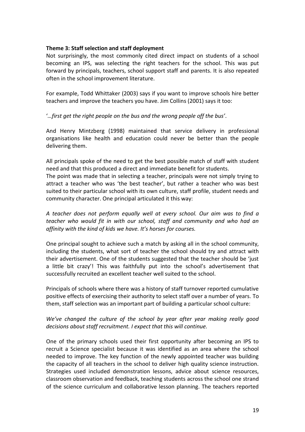## **Theme 3: Staff selection and staff deployment**

Not surprisingly, the most commonly cited direct impact on students of a school becoming an IPS, was selecting the right teachers for the school. This was put forward by principals, teachers, school support staff and parents. It is also repeated often in the school improvement literature.

For example, Todd Whittaker (2003) says if you want to improve schools hire better teachers and improve the teachers you have. Jim Collins (2001) says it too:

## '*…first get the right people on the bus and the wrong people off the bus'*.

And Henry Mintzberg (1998) maintained that service delivery in professional organisations like health and education could never be better than the people delivering them.

All principals spoke of the need to get the best possible match of staff with student need and that this produced a direct and immediate benefit for students.

The point was made that in selecting a teacher, principals were not simply trying to attract a teacher who was 'the best teacher', but rather a teacher who was best suited to their particular school with its own culture, staff profile, student needs and community character. One principal articulated it this way:

## *A teacher does not perform equally well at every school. Our aim was to find a teacher who would fit in with our school, staff and community and who had an affinity with the kind of kids we have. It's horses for courses.*

One principal sought to achieve such a match by asking all in the school community, including the students, what sort of teacher the school should try and attract with their advertisement. One of the students suggested that the teacher should be 'just a little bit crazy'! This was faithfully put into the school's advertisement that successfully recruited an excellent teacher well suited to the school.

Principals of schools where there was a history of staff turnover reported cumulative positive effects of exercising their authority to select staff over a number of years. To them, staff selection was an important part of building a particular school culture:

## *We've changed the culture of the school by year after year making really good decisions about staff recruitment. I expect that this will continue.*

One of the primary schools used their first opportunity after becoming an IPS to recruit a Science specialist because it was identified as an area where the school needed to improve. The key function of the newly appointed teacher was building the capacity of all teachers in the school to deliver high quality science instruction. Strategies used included demonstration lessons, advice about science resources, classroom observation and feedback, teaching students across the school one strand of the science curriculum and collaborative lesson planning. The teachers reported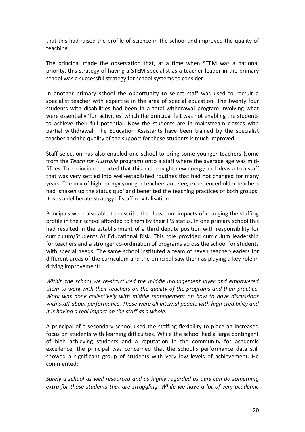that this had raised the profile of science in the school and improved the quality of teaching.

The principal made the observation that, at a time when STEM was a national priority, this strategy of having a STEM specialist as a teacher-leader in the primary school was a successful strategy for school systems to consider.

In another primary school the opportunity to select staff was used to recruit a specialist teacher with expertise in the area of special education. The twenty four students with disabilities had been in a total withdrawal program involving what were essentially 'fun activities' which the principal felt was not enabling the students to achieve their full potential. Now the students are in mainstream classes with partial withdrawal. The Education Assistants have been trained by the specialist teacher and the quality of the support for these students is much improved.

Staff selection has also enabled one school to bring some younger teachers (some from the *Teach for Australia* program) onto a staff where the average age was midfifties. The principal reported that this had brought new energy and ideas a to a staff that was very settled into well-established routines that had not changed for many years. The mix of high-energy younger teachers and very experienced older teachers had 'shaken up the status quo' and benefited the teaching practices of both groups. It was a deliberate strategy of staff re-vitalisation.

Principals were also able to describe the classroom impacts of changing the staffing profile in their school afforded to them by their IPS status. In one primary school this had resulted in the establishment of a third deputy position with responsibility for curriculum/Students At Educational Risk. This role provided curriculum leadership for teachers and a stronger co-ordination of programs across the school for students with special needs. The same school instituted a team of seven teacher-leaders for different areas of the curriculum and the principal saw them as playing a key role in driving improvement:

*Within the school we re-structured the middle management layer and empowered them to work with their teachers on the quality of the programs and their practice. Work was done collectively with middle management on how to have discussions with staff about performance. These were all internal people with high credibility and it is having a real impact on the staff as a whole.*

A principal of a secondary school used the staffing flexibility to place an increased focus on students with learning difficulties. While the school had a large contingent of high achieving students and a reputation in the community for academic excellence, the principal was concerned that the school's performance data still showed a significant group of students with very low levels of achievement. He commented:

*Surely a school as well resourced and as highly regarded as ours can do something extra for those students that are struggling. While we have a lot of very academic*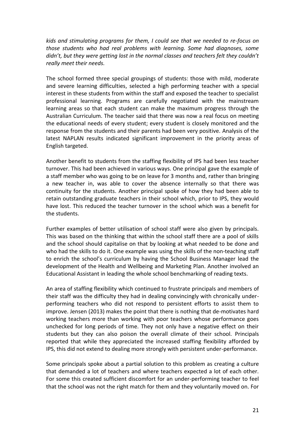*kids and stimulating programs for them, I could see that we needed to re-focus on those students who had real problems with learning. Some had diagnoses, some didn't, but they were getting lost in the normal classes and teachers felt they couldn't really meet their needs.* 

The school formed three special groupings of students: those with mild, moderate and severe learning difficulties, selected a high performing teacher with a special interest in these students from within the staff and exposed the teacher to specialist professional learning. Programs are carefully negotiated with the mainstream learning areas so that each student can make the maximum progress through the Australian Curriculum. The teacher said that there was now a real focus on meeting the educational needs of every student; every student is closely monitored and the response from the students and their parents had been very positive. Analysis of the latest NAPLAN results indicated significant improvement in the priority areas of English targeted.

Another benefit to students from the staffing flexibility of IPS had been less teacher turnover. This had been achieved in various ways. One principal gave the example of a staff member who was going to be on leave for 3 months and, rather than bringing a new teacher in, was able to cover the absence internally so that there was continuity for the students. Another principal spoke of how they had been able to retain outstanding graduate teachers in their school which, prior to IPS, they would have lost. This reduced the teacher turnover in the school which was a benefit for the students.

Further examples of better utilisation of school staff were also given by principals. This was based on the thinking that within the school staff there are a pool of skills and the school should capitalise on that by looking at what needed to be done and who had the skills to do it. One example was using the skills of the non-teaching staff to enrich the school's curriculum by having the School Business Manager lead the development of the Health and Wellbeing and Marketing Plan. Another involved an Educational Assistant in leading the whole school benchmarking of reading texts.

An area of staffing flexibility which continued to frustrate principals and members of their staff was the difficulty they had in dealing convincingly with chronically underperforming teachers who did not respond to persistent efforts to assist them to improve. Jensen (2013) makes the point that there is nothing that de-motivates hard working teachers more than working with poor teachers whose performance goes unchecked for long periods of time. They not only have a negative effect on their students but they can also poison the overall climate of their school. Principals reported that while they appreciated the increased staffing flexibility afforded by IPS, this did not extend to dealing more strongly with persistent under-performance.

Some principals spoke about a partial solution to this problem as creating a culture that demanded a lot of teachers and where teachers expected a lot of each other. For some this created sufficient discomfort for an under-performing teacher to feel that the school was not the right match for them and they voluntarily moved on. For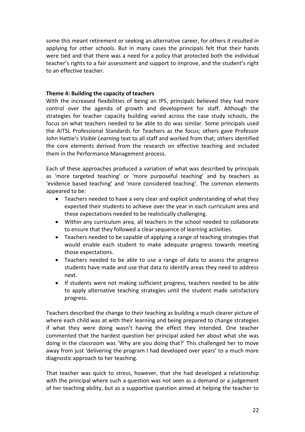some this meant retirement or seeking an alternative career, for others it resulted in applying for other schools. But in many cases the principals felt that their hands were tied and that there was a need for a policy that protected both the individual teacher's rights to a fair assessment and support to improve, and the student's right to an effective teacher.

## **Theme 4: Building the capacity of teachers**

With the increased flexibilities of being an IPS, principals believed they had more control over the agenda of growth and development for staff. Although the strategies for teacher capacity building varied across the case study schools, the focus on what teachers needed to be able to do was similar. Some principals used the AITSL Professional Standards for Teachers as the focus; others gave Professor John Hattie's *Visible Learning* text to all staff and worked from that; others identified the core elements derived from the research on effective teaching and included them in the Performance Management process.

Each of these approaches produced a variation of what was described by principals as 'more targeted teaching' or 'more purposeful teaching' and by teachers as 'evidence based teaching' and 'more considered teaching'. The common elements appeared to be:

- Teachers needed to have a very clear and explicit understanding of what they expected their students to achieve over the year in each curriculum area and these expectations needed to be realistically challenging.
- Within any curriculum area, all teachers in the school needed to collaborate to ensure that they followed a clear sequence of learning activities.
- Teachers needed to be capable of applying a range of teaching strategies that would enable each student to make adequate progress towards meeting those expectations.
- Teachers needed to be able to use a range of data to assess the progress students have made and use that data to identify areas they need to address next.
- If students were not making sufficient progress, teachers needed to be able to apply alternative teaching strategies until the student made satisfactory progress.

Teachers described the change to their teaching as building a much clearer picture of where each child was at with their learning and being prepared to change strategies if what they were doing wasn't having the effect they intended. One teacher commented that the hardest question her principal asked her about what she was doing in the classroom was 'Why are you doing that?' This challenged her to move away from just 'delivering the program I had developed over years' to a much more diagnostic approach to her teaching.

That teacher was quick to stress, however, that she had developed a relationship with the principal where such a question was not seen as a demand or a judgement of her teaching ability, but as a supportive question aimed at helping the teacher to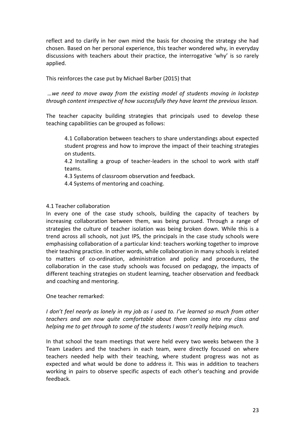reflect and to clarify in her own mind the basis for choosing the strategy she had chosen. Based on her personal experience, this teacher wondered why, in everyday discussions with teachers about their practice, the interrogative 'why' is so rarely applied.

This reinforces the case put by Michael Barber (2015) that

*…we need to move away from the existing model of students moving in lockstep through content irrespective of how successfully they have learnt the previous lesson.*

The teacher capacity building strategies that principals used to develop these teaching capabilities can be grouped as follows:

4.1 Collaboration between teachers to share understandings about expected student progress and how to improve the impact of their teaching strategies on students.

4.2 Installing a group of teacher-leaders in the school to work with staff teams.

4.3 Systems of classroom observation and feedback.

4.4 Systems of mentoring and coaching.

## 4.1 Teacher collaboration

In every one of the case study schools, building the capacity of teachers by increasing collaboration between them, was being pursued. Through a range of strategies the culture of teacher isolation was being broken down. While this is a trend across all schools, not just IPS, the principals in the case study schools were emphasising collaboration of a particular kind: teachers working together to improve their teaching practice. In other words, while collaboration in many schools is related to matters of co-ordination, administration and policy and procedures, the collaboration in the case study schools was focused on pedagogy, the impacts of different teaching strategies on student learning, teacher observation and feedback and coaching and mentoring.

One teacher remarked:

*I don't feel nearly as lonely in my job as I used to. I've learned so much from other teachers and am now quite comfortable about them coming into my class and helping me to get through to some of the students I wasn't really helping much.*

In that school the team meetings that were held every two weeks between the 3 Team Leaders and the teachers in each team, were directly focused on where teachers needed help with their teaching, where student progress was not as expected and what would be done to address it. This was in addition to teachers working in pairs to observe specific aspects of each other's teaching and provide feedback.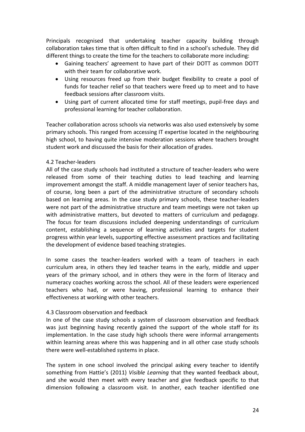Principals recognised that undertaking teacher capacity building through collaboration takes time that is often difficult to find in a school's schedule. They did different things to create the time for the teachers to collaborate more including:

- Gaining teachers' agreement to have part of their DOTT as common DOTT with their team for collaborative work.
- Using resources freed up from their budget flexibility to create a pool of funds for teacher relief so that teachers were freed up to meet and to have feedback sessions after classroom visits.
- Using part of current allocated time for staff meetings, pupil-free days and professional learning for teacher collaboration.

Teacher collaboration across schools via networks was also used extensively by some primary schools. This ranged from accessing IT expertise located in the neighbouring high school, to having quite intensive moderation sessions where teachers brought student work and discussed the basis for their allocation of grades.

## 4.2 Teacher-leaders

All of the case study schools had instituted a structure of teacher-leaders who were released from some of their teaching duties to lead teaching and learning improvement amongst the staff. A middle management layer of senior teachers has, of course, long been a part of the administrative structure of secondary schools based on learning areas. In the case study primary schools, these teacher-leaders were not part of the administrative structure and team meetings were not taken up with administrative matters, but devoted to matters of curriculum and pedagogy. The focus for team discussions included deepening understandings of curriculum content, establishing a sequence of learning activities and targets for student progress within year levels, supporting effective assessment practices and facilitating the development of evidence based teaching strategies.

In some cases the teacher-leaders worked with a team of teachers in each curriculum area, in others they led teacher teams in the early, middle and upper years of the primary school, and in others they were in the form of literacy and numeracy coaches working across the school. All of these leaders were experienced teachers who had, or were having, professional learning to enhance their effectiveness at working with other teachers.

## 4.3 Classroom observation and feedback

In one of the case study schools a system of classroom observation and feedback was just beginning having recently gained the support of the whole staff for its implementation. In the case study high schools there were informal arrangements within learning areas where this was happening and in all other case study schools there were well-established systems in place.

The system in one school involved the principal asking every teacher to identify something from Hattie's (2011) *Visible Learning* that they wanted feedback about, and she would then meet with every teacher and give feedback specific to that dimension following a classroom visit. In another, each teacher identified one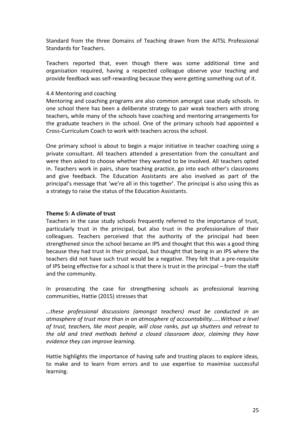Standard from the three Domains of Teaching drawn from the AITSL Professional Standards for Teachers.

Teachers reported that, even though there was some additional time and organisation required, having a respected colleague observe your teaching and provide feedback was self-rewarding because they were getting something out of it.

## 4.4 Mentoring and coaching

Mentoring and coaching programs are also common amongst case study schools. In one school there has been a deliberate strategy to pair weak teachers with strong teachers, while many of the schools have coaching and mentoring arrangements for the graduate teachers in the school. One of the primary schools had appointed a Cross-Curriculum Coach to work with teachers across the school.

One primary school is about to begin a major initiative in teacher coaching using a private consultant. All teachers attended a presentation from the consultant and were then asked to choose whether they wanted to be involved. All teachers opted in. Teachers work in pairs, share teaching practice, go into each other's classrooms and give feedback. The Education Assistants are also involved as part of the principal's message that 'we're all in this together'. The principal is also using this as a strategy to raise the status of the Education Assistants.

## **Theme 5: A climate of trust**

Teachers in the case study schools frequently referred to the importance of trust, particularly trust in the principal, but also trust in the professionalism of their colleagues. Teachers perceived that the authority of the principal had been strengthened since the school became an IPS and thought that this was a good thing because they had trust in their principal, but thought that being in an IPS where the teachers did not have such trust would be a negative. They felt that a pre-requisite of IPS being effective for a school is that there is trust in the principal – from the staff and the community.

In prosecuting the case for strengthening schools as professional learning communities, Hattie (2015) stresses that

*…these professional discussions (amongst teachers) must be conducted in an atmosphere of trust more than in an atmosphere of accountability..….Without a level of trust, teachers, like most people, will close ranks, put up shutters and retreat to the old and tried methods behind a closed classroom door, claiming they have evidence they can improve learning.*

Hattie highlights the importance of having safe and trusting places to explore ideas, to make and to learn from errors and to use expertise to maximise successful learning.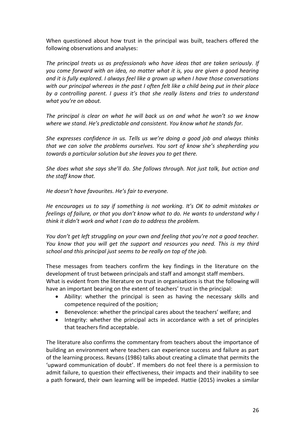When questioned about how trust in the principal was built, teachers offered the following observations and analyses:

*The principal treats us as professionals who have ideas that are taken seriously. If you come forward with an idea, no matter what it is, you are given a good hearing and it is fully explored. I always feel like a grown up when I have those conversations with our principal whereas in the past I often felt like a child being put in their place by a controlling parent. I guess it's that she really listens and tries to understand what you're on about.*

*The principal is clear on what he will back us on and what he won't so we know where we stand. He's predictable and consistent. You know what he stands for.*

*She expresses confidence in us. Tells us we're doing a good job and always thinks that we can solve the problems ourselves. You sort of know she's shepherding you towards a particular solution but she leaves you to get there.*

*She does what she says she'll do. She follows through. Not just talk, but action and the staff know that.* 

*He doesn't have favourites. He's fair to everyone.*

*He encourages us to say if something is not working. It's OK to admit mistakes or feelings of failure, or that you don't know what to do. He wants to understand why I think it didn't work and what I can do to address the problem.*

*You don't get left struggling on your own and feeling that you're not a good teacher. You know that you will get the support and resources you need. This is my third school and this principal just seems to be really on top of the job.*

These messages from teachers confirm the key findings in the literature on the development of trust between principals and staff and amongst staff members. What is evident from the literature on trust in organisations is that the following will have an important bearing on the extent of teachers' trust in the principal:

- Ability: whether the principal is seen as having the necessary skills and competence required of the position;
- Benevolence: whether the principal cares about the teachers' welfare; and
- Integrity: whether the principal acts in accordance with a set of principles that teachers find acceptable.

The literature also confirms the commentary from teachers about the importance of building an environment where teachers can experience success and failure as part of the learning process. Revans (1986) talks about creating a climate that permits the 'upward communication of doubt'. If members do not feel there is a permission to admit failure, to question their effectiveness, their impacts and their inability to see a path forward, their own learning will be impeded. Hattie (2015) invokes a similar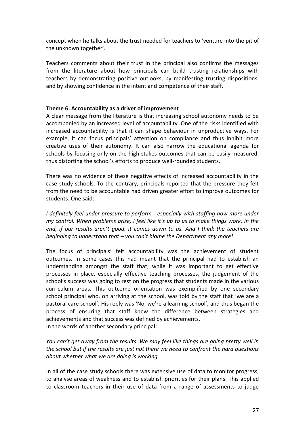concept when he talks about the trust needed for teachers to 'venture into the pit of the unknown together'.

Teachers comments about their trust in the principal also confirms the messages from the literature about how principals can build trusting relationships with teachers by demonstrating positive outlooks, by manifesting trusting dispositions, and by showing confidence in the intent and competence of their staff.

## **Theme 6: Accountability as a driver of improvement**

A clear message from the literature is that increasing school autonomy needs to be accompanied by an increased level of accountability. One of the risks identified with increased accountability is that it can shape behaviour in unproductive ways. For example, it can focus principals' attention on compliance and thus inhibit more creative uses of their autonomy. It can also narrow the educational agenda for schools by focusing only on the high stakes outcomes that can be easily measured, thus distorting the school's efforts to produce well-rounded students.

There was no evidence of these negative effects of increased accountability in the case study schools. To the contrary, principals reported that the pressure they felt from the need to be accountable had driven greater effort to improve outcomes for students. One said:

*I definitely feel under pressure to perform - especially with staffing now more under my control. When problems arise, I feel like it's up to us to make things work. In the end, if our results aren't good, it comes down to us. And I think the teachers are beginning to understand that – you can't blame the Department any more!*

The focus of principals' felt accountability was the achievement of student outcomes. In some cases this had meant that the principal had to establish an understanding amongst the staff that, while it was important to get effective processes in place, especially effective teaching processes, the judgement of the school's success was going to rest on the progress that students made in the various curriculum areas. This outcome orientation was exemplified by one secondary school principal who, on arriving at the school, was told by the staff that 'we are a pastoral care school'. His reply was 'No, we're a learning school', and thus began the process of ensuring that staff knew the difference between strategies and achievements and that success was defined by achievements. In the words of another secondary principal:

*You can't get away from the results. We may feel like things are going pretty well in the school but if the results are just not there we need to confront the hard questions about whether what we are doing is working.*

In all of the case study schools there was extensive use of data to monitor progress, to analyse areas of weakness and to establish priorities for their plans. This applied to classroom teachers in their use of data from a range of assessments to judge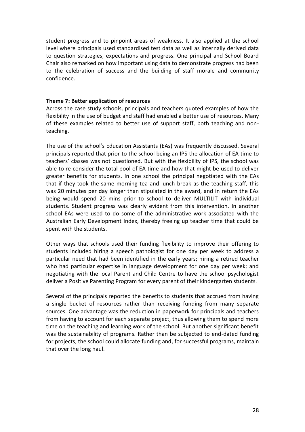student progress and to pinpoint areas of weakness. It also applied at the school level where principals used standardised test data as well as internally derived data to question strategies, expectations and progress. One principal and School Board Chair also remarked on how important using data to demonstrate progress had been to the celebration of success and the building of staff morale and community confidence.

#### **Theme 7: Better application of resources**

Across the case study schools, principals and teachers quoted examples of how the flexibility in the use of budget and staff had enabled a better use of resources. Many of these examples related to better use of support staff, both teaching and nonteaching.

The use of the school's Education Assistants (EAs) was frequently discussed. Several principals reported that prior to the school being an IPS the allocation of EA time to teachers' classes was not questioned. But with the flexibility of IPS, the school was able to re-consider the total pool of EA time and how that might be used to deliver greater benefits for students. In one school the principal negotiated with the EAs that if they took the same morning tea and lunch break as the teaching staff, this was 20 minutes per day longer than stipulated in the award, and in return the EAs being would spend 20 mins prior to school to deliver MULTILIT with individual students. Student progress was clearly evident from this intervention. In another school EAs were used to do some of the administrative work associated with the Australian Early Development Index, thereby freeing up teacher time that could be spent with the students.

Other ways that schools used their funding flexibility to improve their offering to students included hiring a speech pathologist for one day per week to address a particular need that had been identified in the early years; hiring a retired teacher who had particular expertise in language development for one day per week; and negotiating with the local Parent and Child Centre to have the school psychologist deliver a Positive Parenting Program for every parent of their kindergarten students.

Several of the principals reported the benefits to students that accrued from having a single bucket of resources rather than receiving funding from many separate sources. One advantage was the reduction in paperwork for principals and teachers from having to account for each separate project, thus allowing them to spend more time on the teaching and learning work of the school. But another significant benefit was the sustainability of programs. Rather than be subjected to end-dated funding for projects, the school could allocate funding and, for successful programs, maintain that over the long haul.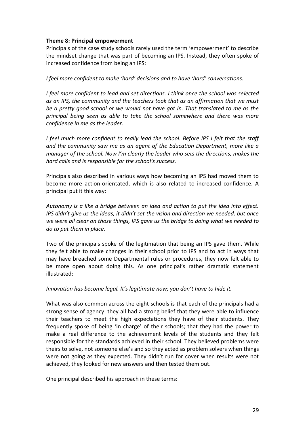## **Theme 8: Principal empowerment**

Principals of the case study schools rarely used the term 'empowerment' to describe the mindset change that was part of becoming an IPS. Instead, they often spoke of increased confidence from being an IPS:

*I feel more confident to make 'hard' decisions and to have 'hard' conversations.*

*I feel more confident to lead and set directions. I think once the school was selected as an IPS, the community and the teachers took that as an affirmation that we must be a pretty good school or we would not have got in. That translated to me as the principal being seen as able to take the school somewhere and there was more confidence in me as the leader.*

*I feel much more confident to really lead the school. Before IPS I felt that the staff and the community saw me as an agent of the Education Department, more like a manager of the school. Now I'm clearly the leader who sets the directions, makes the hard calls and is responsible for the school's success.*

Principals also described in various ways how becoming an IPS had moved them to become more action-orientated, which is also related to increased confidence. A principal put it this way:

*Autonomy is a like a bridge between an idea and action to put the idea into effect. IPS didn't give us the ideas, it didn't set the vision and direction we needed, but once we were all clear on those things, IPS gave us the bridge to doing what we needed to do to put them in place.*

Two of the principals spoke of the legitimation that being an IPS gave them. While they felt able to make changes in their school prior to IPS and to act in ways that may have breached some Departmental rules or procedures, they now felt able to be more open about doing this. As one principal's rather dramatic statement illustrated:

*Innovation has become legal. It's legitimate now; you don't have to hide it.*

What was also common across the eight schools is that each of the principals had a strong sense of agency: they all had a strong belief that they were able to influence their teachers to meet the high expectations they have of their students. They frequently spoke of being 'in charge' of their schools; that they had the power to make a real difference to the achievement levels of the students and they felt responsible for the standards achieved in their school. They believed problems were theirs to solve, not someone else's and so they acted as problem solvers when things were not going as they expected. They didn't run for cover when results were not achieved, they looked for new answers and then tested them out.

One principal described his approach in these terms: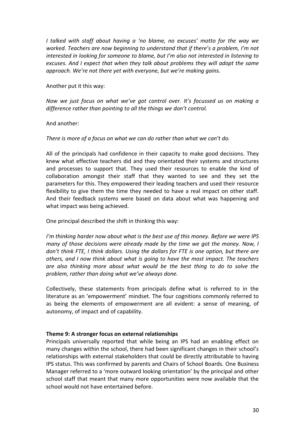*I talked with staff about having a 'no blame, no excuses' motto for the way we worked. Teachers are now beginning to understand that if there's a problem, I'm not interested in looking for someone to blame, but I'm also not interested in listening to excuses. And I expect that when they talk about problems they will adopt the same approach. We're not there yet with everyone, but we're making gains.*

Another put it this way:

*Now we just focus on what we've got control over. It's focussed us on making a difference rather than pointing to all the things we don't control.*

## And another:

#### *There is more of a focus on what we can do rather than what we can't do.*

All of the principals had confidence in their capacity to make good decisions. They knew what effective teachers did and they orientated their systems and structures and processes to support that. They used their resources to enable the kind of collaboration amongst their staff that they wanted to see and they set the parameters for this. They empowered their leading teachers and used their resource flexibility to give them the time they needed to have a real impact on other staff. And their feedback systems were based on data about what was happening and what impact was being achieved.

## One principal described the shift in thinking this way:

*I'm thinking harder now about what is the best use of this money. Before we were IPS many of those decisions were already made by the time we got the money. Now, I don't think FTE, I think dollars. Using the dollars for FTE is one option, but there are others, and I now think about what is going to have the most impact. The teachers are also thinking more about what would be the best thing to do to solve the problem, rather than doing what we've always done.*

Collectively, these statements from principals define what is referred to in the literature as an 'empowerment' mindset. The four cognitions commonly referred to as being the elements of empowerment are all evident: a sense of meaning, of autonomy, of impact and of capability.

#### **Theme 9: A stronger focus on external relationships**

Principals universally reported that while being an IPS had an enabling effect on many changes within the school, there had been significant changes in their school's relationships with external stakeholders that could be directly attributable to having IPS status. This was confirmed by parents and Chairs of School Boards. One Business Manager referred to a 'more outward looking orientation' by the principal and other school staff that meant that many more opportunities were now available that the school would not have entertained before.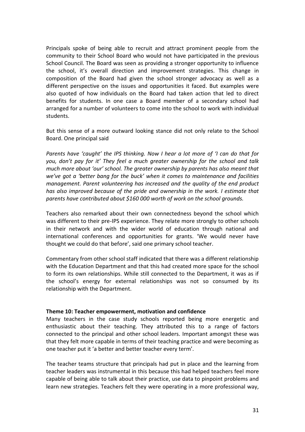Principals spoke of being able to recruit and attract prominent people from the community to their School Board who would not have participated in the previous School Council. The Board was seen as providing a stronger opportunity to influence the school, it's overall direction and improvement strategies. This change in composition of the Board had given the school stronger advocacy as well as a different perspective on the issues and opportunities it faced. But examples were also quoted of how individuals on the Board had taken action that led to direct benefits for students. In one case a Board member of a secondary school had arranged for a number of volunteers to come into the school to work with individual students.

But this sense of a more outward looking stance did not only relate to the School Board. One principal said

*Parents have 'caught' the IPS thinking. Now I hear a lot more of 'I can do that for you, don't pay for it' They feel a much greater ownership for the school and talk much more about 'our' school. The greater ownership by parents has also meant that we've got a 'better bang for the buck' when it comes to maintenance and facilities management. Parent volunteering has increased and the quality of the end product has also improved because of the pride and ownership in the work. I estimate that parents have contributed about \$160 000 worth of work on the school grounds.*

Teachers also remarked about their own connectedness beyond the school which was different to their pre-IPS experience. They relate more strongly to other schools in their network and with the wider world of education through national and international conferences and opportunities for grants. 'We would never have thought we could do that before', said one primary school teacher.

Commentary from other school staff indicated that there was a different relationship with the Education Department and that this had created more space for the school to form its own relationships. While still connected to the Department, it was as if the school's energy for external relationships was not so consumed by its relationship with the Department.

#### **Theme 10: Teacher empowerment, motivation and confidence**

Many teachers in the case study schools reported being more energetic and enthusiastic about their teaching. They attributed this to a range of factors connected to the principal and other school leaders. Important amongst these was that they felt more capable in terms of their teaching practice and were becoming as one teacher put it 'a better and better teacher every term'.

The teacher teams structure that principals had put in place and the learning from teacher leaders was instrumental in this because this had helped teachers feel more capable of being able to talk about their practice, use data to pinpoint problems and learn new strategies. Teachers felt they were operating in a more professional way,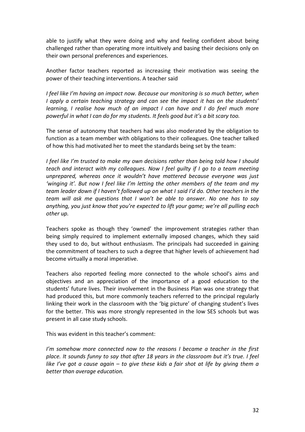able to justify what they were doing and why and feeling confident about being challenged rather than operating more intuitively and basing their decisions only on their own personal preferences and experiences.

Another factor teachers reported as increasing their motivation was seeing the power of their teaching interventions. A teacher said

*I feel like I'm having an impact now. Because our monitoring is so much better, when I apply a certain teaching strategy and can see the impact it has on the students' learning, I realise how much of an impact I can have and I do feel much more powerful in what I can do for my students. It feels good but it's a bit scary too.*

The sense of autonomy that teachers had was also moderated by the obligation to function as a team member with obligations to their colleagues. One teacher talked of how this had motivated her to meet the standards being set by the team:

*I feel like I'm trusted to make my own decisions rather than being told how I should teach and interact with my colleagues. Now I feel guilty if I go to a team meeting unprepared, whereas once it wouldn't have mattered because everyone was just 'winging it'. But now I feel like I'm letting the other members of the team and my team leader down if I haven't followed up on what I said I'd do. Other teachers in the team will ask me questions that I won't be able to answer. No one has to say anything, you just know that you're expected to lift your game; we're all pulling each other up.*

Teachers spoke as though they 'owned' the improvement strategies rather than being simply required to implement externally imposed changes, which they said they used to do, but without enthusiasm. The principals had succeeded in gaining the commitment of teachers to such a degree that higher levels of achievement had become virtually a moral imperative.

Teachers also reported feeling more connected to the whole school's aims and objectives and an appreciation of the importance of a good education to the students' future lives. Their involvement in the Business Plan was one strategy that had produced this, but more commonly teachers referred to the principal regularly linking their work in the classroom with the 'big picture' of changing student's lives for the better. This was more strongly represented in the low SES schools but was present in all case study schools.

This was evident in this teacher's comment:

*I'm somehow more connected now to the reasons I became a teacher in the first place. It sounds funny to say that after 18 years in the classroom but it's true. I feel like I've got a cause again – to give these kids a fair shot at life by giving them a better than average education.*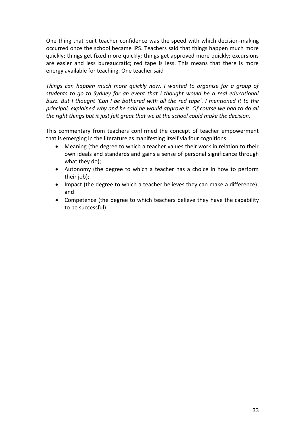One thing that built teacher confidence was the speed with which decision-making occurred once the school became IPS. Teachers said that things happen much more quickly; things get fixed more quickly; things get approved more quickly; excursions are easier and less bureaucratic; red tape is less. This means that there is more energy available for teaching. One teacher said

*Things can happen much more quickly now. I wanted to organise for a group of students to go to Sydney for an event that I thought would be a real educational buzz. But I thought 'Can I be bothered with all the red tape'. I mentioned it to the principal, explained why and he said he would approve it. Of course we had to do all the right things but it just felt great that we at the school could make the decision.*

This commentary from teachers confirmed the concept of teacher empowerment that is emerging in the literature as manifesting itself via four cognitions:

- Meaning (the degree to which a teacher values their work in relation to their own ideals and standards and gains a sense of personal significance through what they do);
- Autonomy (the degree to which a teacher has a choice in how to perform their job);
- Impact (the degree to which a teacher believes they can make a difference); and
- Competence (the degree to which teachers believe they have the capability to be successful).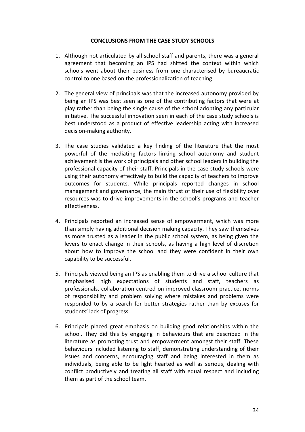## **CONCLUSIONS FROM THE CASE STUDY SCHOOLS**

- 1. Although not articulated by all school staff and parents, there was a general agreement that becoming an IPS had shifted the context within which schools went about their business from one characterised by bureaucratic control to one based on the professionalization of teaching.
- 2. The general view of principals was that the increased autonomy provided by being an IPS was best seen as one of the contributing factors that were at play rather than being the single cause of the school adopting any particular initiative. The successful innovation seen in each of the case study schools is best understood as a product of effective leadership acting with increased decision-making authority.
- 3. The case studies validated a key finding of the literature that the most powerful of the mediating factors linking school autonomy and student achievement is the work of principals and other school leaders in building the professional capacity of their staff. Principals in the case study schools were using their autonomy effectively to build the capacity of teachers to improve outcomes for students. While principals reported changes in school management and governance, the main thrust of their use of flexibility over resources was to drive improvements in the school's programs and teacher effectiveness.
- 4. Principals reported an increased sense of empowerment, which was more than simply having additional decision making capacity. They saw themselves as more trusted as a leader in the public school system, as being given the levers to enact change in their schools, as having a high level of discretion about how to improve the school and they were confident in their own capability to be successful.
- 5. Principals viewed being an IPS as enabling them to drive a school culture that emphasised high expectations of students and staff, teachers as professionals, collaboration centred on improved classroom practice, norms of responsibility and problem solving where mistakes and problems were responded to by a search for better strategies rather than by excuses for students' lack of progress.
- 6. Principals placed great emphasis on building good relationships within the school. They did this by engaging in behaviours that are described in the literature as promoting trust and empowerment amongst their staff. These behaviours included listening to staff, demonstrating understanding of their issues and concerns, encouraging staff and being interested in them as individuals, being able to be light hearted as well as serious, dealing with conflict productively and treating all staff with equal respect and including them as part of the school team.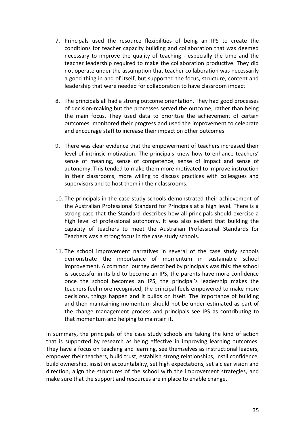- 7. Principals used the resource flexibilities of being an IPS to create the conditions for teacher capacity building and collaboration that was deemed necessary to improve the quality of teaching - especially the time and the teacher leadership required to make the collaboration productive. They did not operate under the assumption that teacher collaboration was necessarily a good thing in and of itself, but supported the focus, structure, content and leadership that were needed for collaboration to have classroom impact.
- 8. The principals all had a strong outcome orientation. They had good processes of decision-making but the processes served the outcome, rather than being the main focus. They used data to prioritise the achievement of certain outcomes, monitored their progress and used the improvement to celebrate and encourage staff to increase their impact on other outcomes.
- 9. There was clear evidence that the empowerment of teachers increased their level of intrinsic motivation. The principals knew how to enhance teachers' sense of meaning, sense of competence, sense of impact and sense of autonomy. This tended to make them more motivated to improve instruction in their classrooms, more willing to discuss practices with colleagues and supervisors and to host them in their classrooms.
- 10. The principals in the case study schools demonstrated their achievement of the Australian Professional Standard for Principals at a high level. There is a strong case that the Standard describes how all principals should exercise a high level of professional autonomy. It was also evident that building the capacity of teachers to meet the Australian Professional Standards for Teachers was a strong focus in the case study schools.
- 11. The school improvement narratives in several of the case study schools demonstrate the importance of momentum in sustainable school improvement. A common journey described by principals was this: the school is successful in its bid to become an IPS, the parents have more confidence once the school becomes an IPS, the principal's leadership makes the teachers feel more recognised, the principal feels empowered to make more decisions, things happen and it builds on itself. The importance of building and then maintaining momentum should not be under-estimated as part of the change management process and principals see IPS as contributing to that momentum and helping to maintain it.

In summary, the principals of the case study schools are taking the kind of action that is supported by research as being effective in improving learning outcomes. They have a focus on teaching and learning, see themselves as instructional leaders, empower their teachers, build trust, establish strong relationships, instil confidence, build ownership, insist on accountability, set high expectations, set a clear vision and direction, align the structures of the school with the improvement strategies, and make sure that the support and resources are in place to enable change.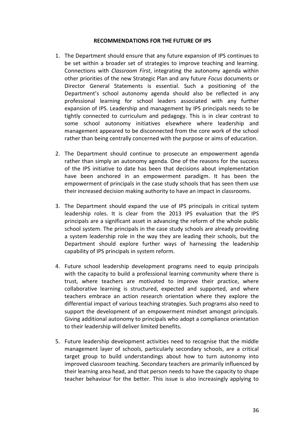#### **RECOMMENDATIONS FOR THE FUTURE OF IPS**

- 1. The Department should ensure that any future expansion of IPS continues to be set within a broader set of strategies to improve teaching and learning. Connections with *Classroom First*, integrating the autonomy agenda within other priorities of the new Strategic Plan and any future *Focus* documents or Director General Statements is essential. Such a positioning of the Department's school autonomy agenda should also be reflected in any professional learning for school leaders associated with any further expansion of IPS. Leadership and management by IPS principals needs to be tightly connected to curriculum and pedagogy. This is in clear contrast to some school autonomy initiatives elsewhere where leadership and management appeared to be disconnected from the core work of the school rather than being centrally concerned with the purpose or aims of education.
- 2. The Department should continue to prosecute an empowerment agenda rather than simply an autonomy agenda. One of the reasons for the success of the IPS initiative to date has been that decisions about implementation have been anchored in an empowerment paradigm. It has been the empowerment of principals in the case study schools that has seen them use their increased decision making authority to have an impact in classrooms.
- 3. The Department should expand the use of IPS principals in critical system leadership roles. It is clear from the 2013 IPS evaluation that the IPS principals are a significant asset in advancing the reform of the whole public school system. The principals in the case study schools are already providing a system leadership role in the way they are leading their schools, but the Department should explore further ways of harnessing the leadership capability of IPS principals in system reform.
- 4. Future school leadership development programs need to equip principals with the capacity to build a professional learning community where there is trust, where teachers are motivated to improve their practice, where collaborative learning is structured, expected and supported, and where teachers embrace an action research orientation where they explore the differential impact of various teaching strategies. Such programs also need to support the development of an empowerment mindset amongst principals. Giving additional autonomy to principals who adopt a compliance orientation to their leadership will deliver limited benefits.
- 5. Future leadership development activities need to recognise that the middle management layer of schools, particularly secondary schools, are a critical target group to build understandings about how to turn autonomy into improved classroom teaching. Secondary teachers are primarily influenced by their learning area head, and that person needs to have the capacity to shape teacher behaviour for the better. This issue is also increasingly applying to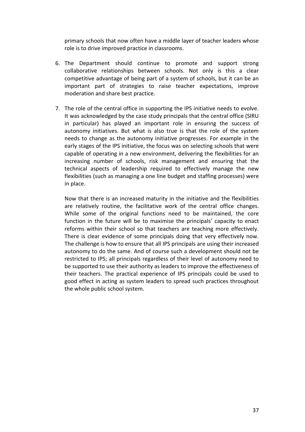primary schools that now often have a middle layer of teacher leaders whose role is to drive improved practice in classrooms.

- 6. The Department should continue to promote and support strong collaborative relationships between schools. Not only is this a clear competitive advantage of being part of a system of schools, but it can be an important part of strategies to raise teacher expectations, improve moderation and share best practice.
- 7. The role of the central office in supporting the IPS initiative needs to evolve. It was acknowledged by the case study principals that the central office (SIRU in particular) has played an important role in ensuring the success of autonomy initiatives. But what is also true is that the role of the system needs to change as the autonomy initiative progresses. For example in the early stages of the IPS initiative, the focus was on selecting schools that were capable of operating in a new environment, delivering the flexibilities for an increasing number of schools, risk management and ensuring that the technical aspects of leadership required to effectively manage the new flexibilities (such as managing a one line budget and staffing processes) were in place.

Now that there is an increased maturity in the initiative and the flexibilities are relatively routine, the facilitative work of the central office changes. While some of the original functions need to be maintained, the core function in the future will be to maximise the principals' capacity to enact reforms within their school so that teachers are teaching more effectively. There is clear evidence of some principals doing that very effectively now. The challenge is how to ensure that all IPS principals are using their increased autonomy to do the same. And of course such a development should not be restricted to IPS; all principals regardless of their level of autonomy need to be supported to use their authority as leaders to improve the effectiveness of their teachers. The practical experience of IPS principals could be used to good effect in acting as system leaders to spread such practices throughout the whole public school system.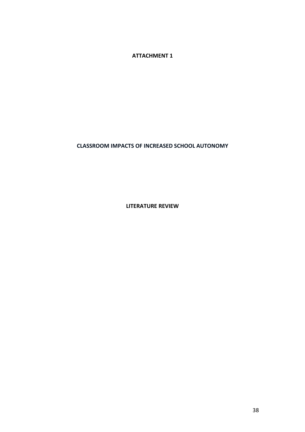**ATTACHMENT 1**

## **CLASSROOM IMPACTS OF INCREASED SCHOOL AUTONOMY**

**LITERATURE REVIEW**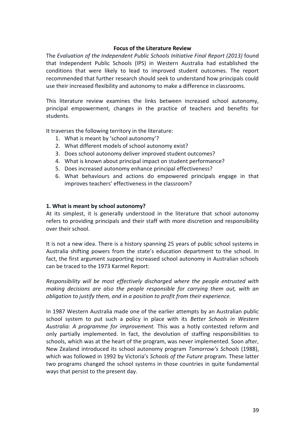## **Focus of the Literature Review**

The *Evaluation of the Independent Public Schools Initiative Final Report (2013)* found that Independent Public Schools (IPS) in Western Australia had established the conditions that were likely to lead to improved student outcomes. The report recommended that further research should seek to understand how principals could use their increased flexibility and autonomy to make a difference in classrooms.

This literature review examines the links between increased school autonomy, principal empowerment, changes in the practice of teachers and benefits for students.

It traverses the following territory in the literature:

- 1. What is meant by 'school autonomy'?
- 2. What different models of school autonomy exist?
- 3. Does school autonomy deliver improved student outcomes?
- 4. What is known about principal impact on student performance?
- 5. Does increased autonomy enhance principal effectiveness?
- 6. What behaviours and actions do empowered principals engage in that improves teachers' effectiveness in the classroom?

## **1. What is meant by school autonomy?**

At its simplest, it is generally understood in the literature that school autonomy refers to providing principals and their staff with more discretion and responsibility over their school.

It is not a new idea. There is a history spanning 25 years of public school systems in Australia shifting powers from the state's education department to the school. In fact, the first argument supporting increased school autonomy in Australian schools can be traced to the 1973 Karmel Report:

*Responsibility will be most effectively discharged where the people entrusted with making decisions are also the people responsible for carrying them out, with an obligation to justify them, and in a position to profit from their experience.* 

In 1987 Western Australia made one of the earlier attempts by an Australian public school system to put such a policy in place with its *Better Schools in Western Australia: A programme for improvement.* This was a hotly contested reform and only partially implemented. In fact, the devolution of staffing responsibilities to schools, which was at the heart of the program, was never implemented. Soon after, New Zealand introduced its school autonomy program *Tomorrow's Schools* (1988), which was followed in 1992 by Victoria's *Schools of the Future* program. These latter two programs changed the school systems in those countries in quite fundamental ways that persist to the present day.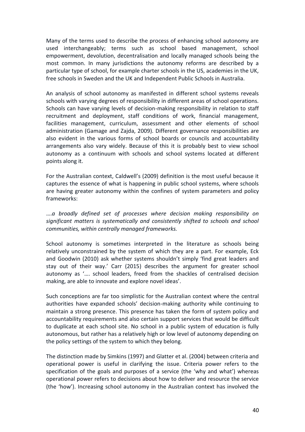Many of the terms used to describe the process of enhancing school autonomy are used interchangeably; terms such as school based management, school empowerment, devolution, decentralisation and locally managed schools being the most common. In many jurisdictions the autonomy reforms are described by a particular type of school, for example charter schools in the US, academies in the UK, free schools in Sweden and the UK and Independent Public Schools in Australia.

An analysis of school autonomy as manifested in different school systems reveals schools with varying degrees of responsibility in different areas of school operations. Schools can have varying levels of decision-making responsibility in relation to staff recruitment and deployment, staff conditions of work, financial management, facilities management, curriculum, assessment and other elements of school administration (Gamage and Zajda, 2009). Different governance responsibilities are also evident in the various forms of school boards or councils and accountability arrangements also vary widely. Because of this it is probably best to view school autonomy as a continuum with schools and school systems located at different points along it.

For the Australian context, Caldwell's (2009) definition is the most useful because it captures the essence of what is happening in public school systems, where schools are having greater autonomy within the confines of system parameters and policy frameworks:

….*a broadly defined set of processes where decision making responsibility on significant matters is systematically and consistently shifted to schools and school communities, within centrally managed frameworks.*

School autonomy is sometimes interpreted in the literature as schools being relatively unconstrained by the system of which they are a part. For example, Eck and Goodwin (2010) ask whether systems shouldn't simply 'find great leaders and stay out of their way.' Carr (2015) describes the argument for greater school autonomy as '…. school leaders, freed from the shackles of centralised decision making, are able to innovate and explore novel ideas'.

Such conceptions are far too simplistic for the Australian context where the central authorities have expanded schools' decision-making authority while continuing to maintain a strong presence. This presence has taken the form of system policy and accountability requirements and also certain support services that would be difficult to duplicate at each school site. No school in a public system of education is fully autonomous, but rather has a relatively high or low level of autonomy depending on the policy settings of the system to which they belong.

The distinction made by Simkins (1997) and Glatter et al. (2004) between criteria and operational power is useful in clarifying the issue. Criteria power refers to the specification of the goals and purposes of a service (the 'why and what') whereas operational power refers to decisions about how to deliver and resource the service (the 'how'). Increasing school autonomy in the Australian context has involved the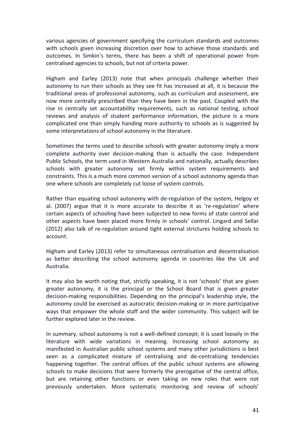various agencies of government specifying the curriculum standards and outcomes with schools given increasing discretion over how to achieve those standards and outcomes. In Simkin's terms, there has been a shift of operational power from centralised agencies to schools, but not of criteria power.

Higham and Earley (2013) note that when principals challenge whether their autonomy to run their schools as they see fit has increased at all, it is because the traditional areas of professional autonomy, such as curriculum and assessment, are now more centrally prescribed than they have been in the past. Coupled with the rise in centrally set accountability requirements, such as national testing, school reviews and analysis of student performance information, the picture is a more complicated one than simply handing more authority to schools as is suggested by some interpretations of school autonomy in the literature.

Sometimes the terms used to describe schools with greater autonomy imply a more complete authority over decision-making than is actually the case. Independent Public Schools, the term used in Western Australia and nationally, actually describes schools with greater autonomy set firmly within system requirements and constraints. This is a much more common version of a school autonomy agenda than one where schools are completely cut loose of system controls.

Rather than equating school autonomy with de-regulation of the system, Helgoy et al. (2007) argue that it is more accurate to describe it as 're-regulation' where certain aspects of schooling have been subjected to new forms of state control and other aspects have been placed more firmly in schools' control. Lingard and Sellar (2012) also talk of re-regulation around tight external strictures holding schools to account.

Higham and Earley (2013) refer to simultaneous centralisation and decentralisation as better describing the school autonomy agenda in countries like the UK and Australia.

It may also be worth noting that, strictly speaking, it is not 'schools' that are given greater autonomy; it is the principal or the School Board that is given greater decision-making responsibilities. Depending on the principal's leadership style, the autonomy could be exercised as autocratic decision-making or in more participative ways that empower the whole staff and the wider community. This subject will be further explored later in the review.

In summary, school autonomy is not a well-defined concept; it is used loosely in the literature with wide variations in meaning. Increasing school autonomy as manifested in Australian public school systems and many other jurisdictions is best seen as a complicated mixture of centralising and de-centralising tendencies happening together. The central offices of the public school systems are allowing schools to make decisions that were formerly the prerogative of the central office, but are retaining other functions or even taking on new roles that were not previously undertaken. More systematic monitoring and review of schools'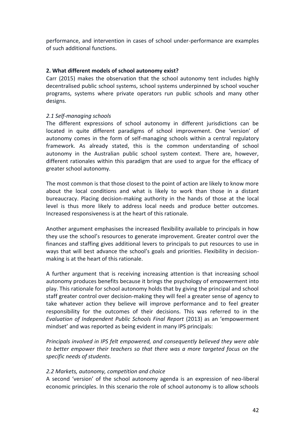performance, and intervention in cases of school under-performance are examples of such additional functions.

## **2. What different models of school autonomy exist?**

Carr (2015) makes the observation that the school autonomy tent includes highly decentralised public school systems, school systems underpinned by school voucher programs, systems where private operators run public schools and many other designs.

## *2.1 Self-managing schools*

The different expressions of school autonomy in different jurisdictions can be located in quite different paradigms of school improvement. One 'version' of autonomy comes in the form of self-managing schools within a central regulatory framework. As already stated, this is the common understanding of school autonomy in the Australian public school system context. There are, however, different rationales within this paradigm that are used to argue for the efficacy of greater school autonomy.

The most common is that those closest to the point of action are likely to know more about the local conditions and what is likely to work than those in a distant bureaucracy. Placing decision-making authority in the hands of those at the local level is thus more likely to address local needs and produce better outcomes. Increased responsiveness is at the heart of this rationale.

Another argument emphasises the increased flexibility available to principals in how they use the school's resources to generate improvement. Greater control over the finances and staffing gives additional levers to principals to put resources to use in ways that will best advance the school's goals and priorities. Flexibility in decisionmaking is at the heart of this rationale.

A further argument that is receiving increasing attention is that increasing school autonomy produces benefits because it brings the psychology of empowerment into play. This rationale for school autonomy holds that by giving the principal and school staff greater control over decision-making they will feel a greater sense of agency to take whatever action they believe will improve performance and to feel greater responsibility for the outcomes of their decisions. This was referred to in the *Evaluation of Independent Public Schools Final Report* (2013) as an 'empowerment mindset' and was reported as being evident in many IPS principals:

*Principals involved in IPS felt empowered, and consequently believed they were able to better empower their teachers so that there was a more targeted focus on the specific needs of students.* 

## *2.2 Markets, autonomy, competition and choice*

A second 'version' of the school autonomy agenda is an expression of neo-liberal economic principles. In this scenario the role of school autonomy is to allow schools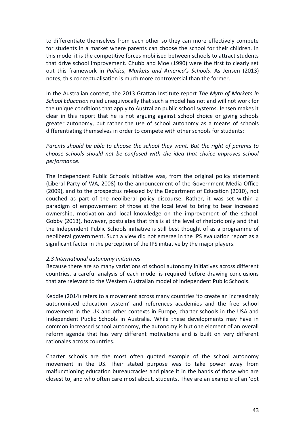to differentiate themselves from each other so they can more effectively compete for students in a market where parents can choose the school for their children. In this model it is the competitive forces mobilised between schools to attract students that drive school improvement. Chubb and Moe (1990) were the first to clearly set out this framework in *Politics, Markets and America's Schools*. As Jensen (2013) notes, this conceptualisation is much more controversial than the former.

In the Australian context, the 2013 Grattan Institute report *The Myth of Markets in School Education* ruled unequivocally that such a model has not and will not work for the unique conditions that apply to Australian public school systems. Jensen makes it clear in this report that he is not arguing against school choice or giving schools greater autonomy, but rather the use of school autonomy as a means of schools differentiating themselves in order to compete with other schools for students:

*Parents should be able to choose the school they want. But the right of parents to choose schools should not be confused with the idea that choice improves school performance.* 

The Independent Public Schools initiative was, from the original policy statement (Liberal Party of WA, 2008) to the announcement of the Government Media Office (2009), and to the prospectus released by the Department of Education (2010), not couched as part of the neoliberal policy discourse. Rather, it was set within a paradigm of empowerment of those at the local level to bring to bear increased ownership, motivation and local knowledge on the improvement of the school. Gobby (2013), however, postulates that this is at the level of rhetoric only and that the Independent Public Schools initiative is still best thought of as a programme of neoliberal government. Such a view did not emerge in the IPS evaluation report as a significant factor in the perception of the IPS initiative by the major players.

#### *2.3 International autonomy initiatives*

Because there are so many variations of school autonomy initiatives across different countries, a careful analysis of each model is required before drawing conclusions that are relevant to the Western Australian model of Independent Public Schools.

Keddie (2014) refers to a movement across many countries 'to create an increasingly autonomised education system' and references academies and the free school movement in the UK and other contexts in Europe, charter schools in the USA and Independent Public Schools in Australia. While these developments may have in common increased school autonomy, the autonomy is but one element of an overall reform agenda that has very different motivations and is built on very different rationales across countries.

Charter schools are the most often quoted example of the school autonomy movement in the US. Their stated purpose was to take power away from malfunctioning education bureaucracies and place it in the hands of those who are closest to, and who often care most about, students. They are an example of an 'opt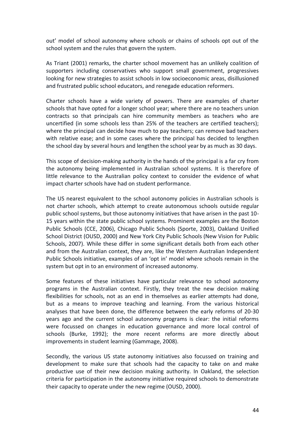out' model of school autonomy where schools or chains of schools opt out of the school system and the rules that govern the system.

As Triant (2001) remarks, the charter school movement has an unlikely coalition of supporters including conservatives who support small government, progressives looking for new strategies to assist schools in low socioeconomic areas, disillusioned and frustrated public school educators, and renegade education reformers.

Charter schools have a wide variety of powers. There are examples of charter schools that have opted for a longer school year; where there are no teachers union contracts so that principals can hire community members as teachers who are uncertified (in some schools less than 25% of the teachers are certified teachers); where the principal can decide how much to pay teachers; can remove bad teachers with relative ease; and in some cases where the principal has decided to lengthen the school day by several hours and lengthen the school year by as much as 30 days.

This scope of decision-making authority in the hands of the principal is a far cry from the autonomy being implemented in Australian school systems. It is therefore of little relevance to the Australian policy context to consider the evidence of what impact charter schools have had on student performance.

The US nearest equivalent to the school autonomy policies in Australian schools is not charter schools, which attempt to create autonomous schools outside regular public school systems, but those autonomy initiatives that have arisen in the past 10- 15 years within the state public school systems. Prominent examples are the Boston Public Schools (CCE, 2006), Chicago Public Schools (Sporte, 2003), Oakland Unified School District (OUSD, 2000) and New York City Public Schools (New Vision for Public Schools, 2007). While these differ in some significant details both from each other and from the Australian context, they are, like the Western Australian Independent Public Schools initiative, examples of an 'opt in' model where schools remain in the system but opt in to an environment of increased autonomy.

Some features of these initiatives have particular relevance to school autonomy programs in the Australian context. Firstly, they treat the new decision making flexibilities for schools, not as an end in themselves as earlier attempts had done, but as a means to improve teaching and learning. From the various historical analyses that have been done, the difference between the early reforms of 20-30 years ago and the current school autonomy programs is clear: the initial reforms were focussed on changes in education governance and more local control of schools (Burke, 1992); the more recent reforms are more directly about improvements in student learning (Gammage, 2008).

Secondly, the various US state autonomy initiatives also focussed on training and development to make sure that schools had the capacity to take on and make productive use of their new decision making authority. In Oakland, the selection criteria for participation in the autonomy initiative required schools to demonstrate their capacity to operate under the new regime (OUSD, 2000).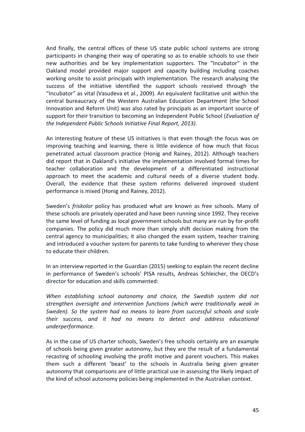And finally, the central offices of these US state public school systems are strong participants in changing their way of operating so as to enable schools to use their new authorities and be key implementation supporters. The "Incubator" in the Oakland model provided major support and capacity building including coaches working onsite to assist principals with implementation. The research analysing the success of the initiative identified the support schools received through the "Incubator" as vital (Vasudeva et al., 2009). An equivalent facilitative unit within the central bureaucracy of the Western Australian Education Department (the School Innovation and Reform Unit) was also rated by principals as an important source of support for their transition to becoming an Independent Public School (*Evaluation of the Independent Public Schools Initiative Final Report, 2013)*.

An interesting feature of these US initiatives is that even though the focus was on improving teaching and learning, there is little evidence of how much that focus penetrated actual classroom practice (Honig and Rainey, 2012). Although teachers did report that in Oakland's initiative the implementation involved formal times for teacher collaboration and the development of a differentiated instructional approach to meet the academic and cultural needs of a diverse student body. Overall, the evidence that these system reforms delivered improved student performance is mixed (Honig and Rainey, 2012).

Sweden's *friskolor* policy has produced what are known as free schools. Many of these schools are privately operated and have been running since 1992. They receive the same level of funding as local government schools but many are run by for-profit companies. The policy did much more than simply shift decision making from the central agency to municipalities; it also changed the exam system, teacher training and introduced a voucher system for parents to take funding to wherever they chose to educate their children.

In an interview reported in the Guardian (2015) seeking to explain the recent decline in performance of Sweden's schools' PISA results, Andreas Schleicher, the OECD's director for education and skills commented:

*When establishing school autonomy and choice, the Swedish system did not strengthen oversight and intervention functions (which were traditionally weak in Sweden). So the system had no means to learn from successful schools and scale their success, and it had no means to detect and address educational underperformance.*

As in the case of US charter schools, Sweden's free schools certainly are an example of schools being given greater autonomy, but they are the result of a fundamental recasting of schooling involving the profit motive and parent vouchers. This makes them such a different 'beast' to the schools in Australia being given greater autonomy that comparisons are of little practical use in assessing the likely impact of the kind of school autonomy policies being implemented in the Australian context.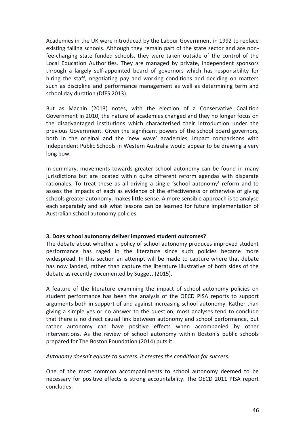Academies in the UK were introduced by the Labour Government in 1992 to replace existing failing schools. Although they remain part of the state sector and are nonfee-charging state funded schools, they were taken outside of the control of the Local Education Authorities. They are managed by private, independent sponsors through a largely self-appointed board of governors which has responsibility for hiring the staff, negotiating pay and working conditions and deciding on matters such as discipline and performance management as well as determining term and school day duration (DfES 2013).

But as Machin (2013) notes, with the election of a Conservative Coalition Government in 2010, the nature of academies changed and they no longer focus on the disadvantaged institutions which characterised their introduction under the previous Government. Given the significant powers of the school board governors, both in the original and the 'new wave' academies, impact comparisons with Independent Public Schools in Western Australia would appear to be drawing a very long bow.

In summary, movements towards greater school autonomy can be found in many jurisdictions but are located within quite different reform agendas with disparate rationales. To treat these as all driving a single 'school autonomy' reform and to assess the impacts of each as evidence of the effectiveness or otherwise of giving schools greater autonomy, makes little sense. A more sensible approach is to analyse each separately and ask what lessons can be learned for future implementation of Australian school autonomy policies.

## **3. Does school autonomy deliver improved student outcomes?**

The debate about whether a policy of school autonomy produces improved student performance has raged in the literature since such policies became more widespread. In this section an attempt will be made to capture where that debate has now landed, rather than capture the literature illustrative of both sides of the debate as recently documented by Suggett (2015).

A feature of the literature examining the impact of school autonomy policies on student performance has been the analysis of the OECD PISA reports to support arguments both in support of and against increasing school autonomy. Rather than giving a simple yes or no answer to the question, most analyses tend to conclude that there is no direct causal link between autonomy and school performance, but rather autonomy can have positive effects when accompanied by other interventions. As the review of school autonomy within Boston's public schools prepared for The Boston Foundation (2014) puts it:

*Autonomy doesn't equate to success. It creates the conditions for success.*

One of the most common accompaniments to school autonomy deemed to be necessary for positive effects is strong accountability. The OECD 2011 PISA report concludes: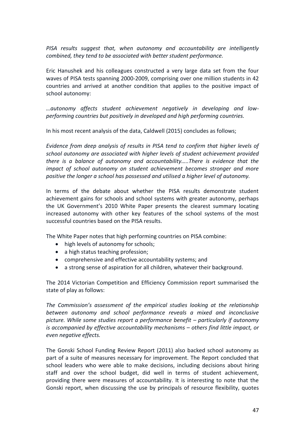*PISA results suggest that, when autonomy and accountability are intelligently combined, they tend to be associated with better student performance.*

Eric Hanushek and his colleagues constructed a very large data set from the four waves of PISA tests spanning 2000-2009, comprising over one million students in 42 countries and arrived at another condition that applies to the positive impact of school autonomy:

*…autonomy affects student achievement negatively in developing and lowperforming countries but positively in developed and high performing countries.*

In his most recent analysis of the data, Caldwell (2015) concludes as follows;

*Evidence from deep analysis of results in PISA tend to confirm that higher levels of school autonomy are associated with higher levels of student achievement provided there is a balance of autonomy and accountability…..There is evidence that the impact of school autonomy on student achievement becomes stronger and more positive the longer a school has possessed and utilised a higher level of autonomy.*

In terms of the debate about whether the PISA results demonstrate student achievement gains for schools and school systems with greater autonomy, perhaps the UK Government's 2010 White Paper presents the clearest summary locating increased autonomy with other key features of the school systems of the most successful countries based on the PISA results.

The White Paper notes that high performing countries on PISA combine:

- high levels of autonomy for schools;
- a high status teaching profession;
- comprehensive and effective accountability systems; and
- a strong sense of aspiration for all children, whatever their background.

The 2014 Victorian Competition and Efficiency Commission report summarised the state of play as follows:

*The Commission's assessment of the empirical studies looking at the relationship between autonomy and school performance reveals a mixed and inconclusive picture. While some studies report a performance benefit – particularly if autonomy is accompanied by effective accountability mechanisms – others find little impact, or even negative effects.*

The Gonski School Funding Review Report (2011) also backed school autonomy as part of a suite of measures necessary for improvement. The Report concluded that school leaders who were able to make decisions, including decisions about hiring staff and over the school budget, did well in terms of student achievement, providing there were measures of accountability. It is interesting to note that the Gonski report, when discussing the use by principals of resource flexibility, quotes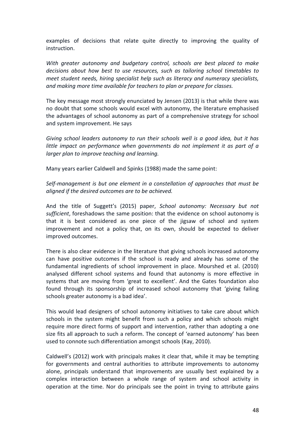examples of decisions that relate quite directly to improving the quality of instruction.

*With greater autonomy and budgetary control, schools are best placed to make decisions about how best to use resources, such as tailoring school timetables to meet student needs, hiring specialist help such as literacy and numeracy specialists, and making more time available for teachers to plan or prepare for classes.*

The key message most strongly enunciated by Jensen (2013) is that while there was no doubt that some schools would excel with autonomy, the literature emphasised the advantages of school autonomy as part of a comprehensive strategy for school and system improvement. He says

*Giving school leaders autonomy to run their schools well is a good idea, but it has little impact on performance when governments do not implement it as part of a larger plan to improve teaching and learning.*

Many years earlier Caldwell and Spinks (1988) made the same point:

*Self-management is but one element in a constellation of approaches that must be aligned if the desired outcomes are to be achieved.* 

And the title of Suggett's (2015) paper, *School autonomy: Necessary but not sufficient*, foreshadows the same position: that the evidence on school autonomy is that it is best considered as one piece of the jigsaw of school and system improvement and not a policy that, on its own, should be expected to deliver improved outcomes.

There is also clear evidence in the literature that giving schools increased autonomy can have positive outcomes if the school is ready and already has some of the fundamental ingredients of school improvement in place. Mourshed et al. (2010) analysed different school systems and found that autonomy is more effective in systems that are moving from 'great to excellent'. And the Gates foundation also found through its sponsorship of increased school autonomy that 'giving failing schools greater autonomy is a bad idea'.

This would lead designers of school autonomy initiatives to take care about which schools in the system might benefit from such a policy and which schools might require more direct forms of support and intervention, rather than adopting a one size fits all approach to such a reform. The concept of 'earned autonomy' has been used to connote such differentiation amongst schools (Kay, 2010).

Caldwell's (2012) work with principals makes it clear that, while it may be tempting for governments and central authorities to attribute improvements to autonomy alone, principals understand that improvements are usually best explained by a complex interaction between a whole range of system and school activity in operation at the time. Nor do principals see the point in trying to attribute gains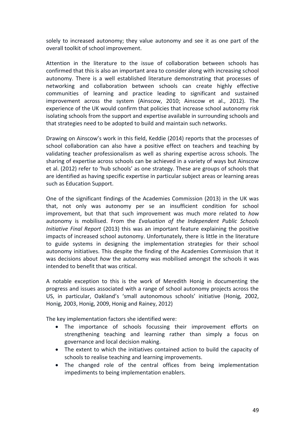solely to increased autonomy; they value autonomy and see it as one part of the overall toolkit of school improvement.

Attention in the literature to the issue of collaboration between schools has confirmed that this is also an important area to consider along with increasing school autonomy. There is a well established literature demonstrating that processes of networking and collaboration between schools can create highly effective communities of learning and practice leading to significant and sustained improvement across the system (Ainscow, 2010; Ainscow et al., 2012). The experience of the UK would confirm that policies that increase school autonomy risk isolating schools from the support and expertise available in surrounding schools and that strategies need to be adopted to build and maintain such networks.

Drawing on Ainscow's work in this field, Keddie (2014) reports that the processes of school collaboration can also have a positive effect on teachers and teaching by validating teacher professionalism as well as sharing expertise across schools. The sharing of expertise across schools can be achieved in a variety of ways but Ainscow et al. (2012) refer to 'hub schools' as one strategy. These are groups of schools that are identified as having specific expertise in particular subject areas or learning areas such as Education Support.

One of the significant findings of the Academies Commission (2013) in the UK was that, not only was autonomy per se an insufficient condition for school improvement, but that that such improvement was much more related to *how*  autonomy is mobilised. From the *Evaluation of the Independent Public Schools Initiative Final Report* (2013) this was an important feature explaining the positive impacts of increased school autonomy. Unfortunately, there is little in the literature to guide systems in designing the implementation strategies for their school autonomy initiatives. This despite the finding of the Academies Commission that it was decisions about *how* the autonomy was mobilised amongst the schools it was intended to benefit that was critical.

A notable exception to this is the work of Meredith Honig in documenting the progress and issues associated with a range of school autonomy projects across the US, in particular, Oakland's 'small autonomous schools' initiative (Honig, 2002, Honig, 2003, Honig, 2009, Honig and Rainey, 2012)

The key implementation factors she identified were:

- The importance of schools focussing their improvement efforts on strengthening teaching and learning rather than simply a focus on governance and local decision making.
- The extent to which the initiatives contained action to build the capacity of schools to realise teaching and learning improvements.
- The changed role of the central offices from being implementation impediments to being implementation enablers.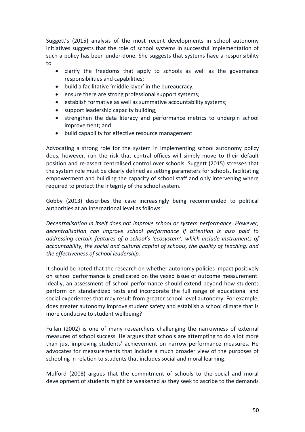Suggett's (2015) analysis of the most recent developments in school autonomy initiatives suggests that the role of school systems in successful implementation of such a policy has been under-done. She suggests that systems have a responsibility to

- clarify the freedoms that apply to schools as well as the governance responsibilities and capabilities;
- build a facilitative 'middle layer' in the bureaucracy;
- ensure there are strong professional support systems;
- **•** establish formative as well as summative accountability systems;
- support leadership capacity building;
- strengthen the data literacy and performance metrics to underpin school improvement; and
- $\bullet$  build capability for effective resource management.

Advocating a strong role for the system in implementing school autonomy policy does, however, run the risk that central offices will simply move to their default position and re-assert centralised control over schools. Suggett (2015) stresses that the system role must be clearly defined as setting parameters for schools, facilitating empowerment and building the capacity of school staff and only intervening where required to protect the integrity of the school system.

Gobby (2013) describes the case increasingly being recommended to political authorities at an international level as follows:

*Decentralisation in itself does not improve school or system performance. However, decentralisation can improve school performance if attention is also paid to addressing certain features of a school's 'ecosystem', which include instruments of accountability, the social and cultural capital of schools, the quality of teaching, and the effectiveness of school leadership.*

It should be noted that the research on whether autonomy policies impact positively on school performance is predicated on the vexed issue of outcome measurement. Ideally, an assessment of school performance should extend beyond how students perform on standardized tests and incorporate the full range of educational and social experiences that may result from greater school-level autonomy. For example, does greater autonomy improve student safety and establish a school climate that is more conducive to student wellbeing?

Fullan (2002) is one of many researchers challenging the narrowness of external measures of school success. He argues that schools are attempting to do a lot more than just improving students' achievement on narrow performance measures. He advocates for measurements that include a much broader view of the purposes of schooling in relation to students that includes social and moral learning.

Mulford (2008) argues that the commitment of schools to the social and moral development of students might be weakened as they seek to ascribe to the demands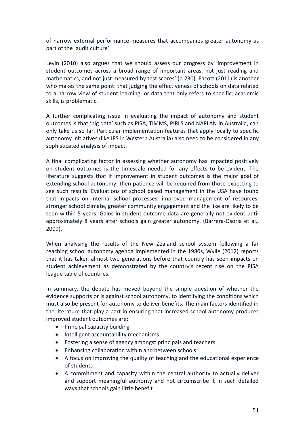of narrow external performance measures that accompanies greater autonomy as part of the 'audit culture'.

Levin (2010) also argues that we should assess our progress by 'improvement in student outcomes across a broad range of important areas, not just reading and mathematics, and not just measured by test scores' (p 230). Eacott (2011) is another who makes the same point: that judging the effectiveness of schools on data related to a narrow view of student learning, or data that only refers to specific, academic skills, is problematic.

A further complicating issue in evaluating the impact of autonomy and student outcomes is that 'big data' such as PISA, TIMMS, PIRLS and NAPLAN in Australia, can only take us so far. Particular implementation features that apply locally to specific autonomy initiatives (like IPS in Western Australia) also need to be considered in any sophisticated analysis of impact.

A final complicating factor in assessing whether autonomy has impacted positively on student outcomes is the timescale needed for any effects to be evident. The literature suggests that if improvement in student outcomes is the major goal of extending school autonomy, then patience will be required from those expecting to see such results. Evaluations of school based management in the USA have found that impacts on internal school processes, improved management of resources, stronger school climate, greater community engagement and the like are likely to be seen within 5 years. Gains in student outcome data are generally not evident until approximately 8 years after schools gain greater autonomy. (Barrera-Osoria et al., 2009).

When analysing the results of the New Zealand school system following a far reaching school autonomy agenda implemented in the 1980s, Wylie (2012) reports that it has taken almost two generations before that country has seen impacts on student achievement as demonstrated by the country's recent rise on the PISA league table of countries.

In summary, the debate has moved beyond the simple question of whether the evidence supports or is against school autonomy, to identifying the conditions which must also be present for autonomy to deliver benefits. The main factors identified in the literature that play a part in ensuring that increased school autonomy produces improved student outcomes are:

- Principal capacity building
- Intelligent accountability mechanisms
- Fostering a sense of agency amongst principals and teachers
- Enhancing collaboration within and between schools
- A focus on improving the quality of teaching and the educational experience of students
- A commitment and capacity within the central authority to actually deliver and support meaningful authority and not circumscribe it in such detailed ways that schools gain little benefit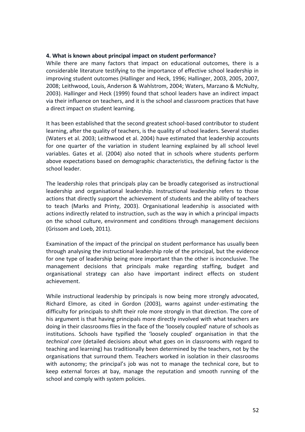## **4. What is known about principal impact on student performance?**

While there are many factors that impact on educational outcomes, there is a considerable literature testifying to the importance of effective school leadership in improving student outcomes (Hallinger and Heck, 1996; Hallinger, 2003, 2005, 2007, 2008; Leithwood, Louis, Anderson & Wahlstrom, 2004; Waters, Marzano & McNulty, 2003). Hallinger and Heck (1999) found that school leaders have an indirect impact via their influence on teachers, and it is the school and classroom practices that have a direct impact on student learning.

It has been established that the second greatest school-based contributor to student learning, after the quality of teachers, is the quality of school leaders. Several studies (Waters et al. 2003; Leithwood et al. 2004) have estimated that leadership accounts for one quarter of the variation in student learning explained by all school level variables. Gates et al. (2004) also noted that in schools where students perform above expectations based on demographic characteristics, the defining factor is the school leader.

The leadership roles that principals play can be broadly categorised as instructional leadership and organisational leadership. Instructional leadership refers to those actions that directly support the achievement of students and the ability of teachers to teach (Marks and Printy, 2003). Organisational leadership is associated with actions indirectly related to instruction, such as the way in which a principal impacts on the school culture, environment and conditions through management decisions (Grissom and Loeb, 2011).

Examination of the impact of the principal on student performance has usually been through analysing the instructional leadership role of the principal, but the evidence for one type of leadership being more important than the other is inconclusive. The management decisions that principals make regarding staffing, budget and organisational strategy can also have important indirect effects on student achievement.

While instructional leadership by principals is now being more strongly advocated, Richard Elmore, as cited in Gordon (2003), warns against under-estimating the difficulty for principals to shift their role more strongly in that direction. The core of his argument is that having principals more directly involved with what teachers are doing in their classrooms flies in the face of the 'loosely coupled' nature of schools as institutions. Schools have typified the 'loosely coupled' organisation in that the *technical core* (detailed decisions about what goes on in classrooms with regard to teaching and learning) has traditionally been determined by the teachers, not by the organisations that surround them. Teachers worked in isolation in their classrooms with autonomy; the principal's job was not to manage the technical core, but to keep external forces at bay, manage the reputation and smooth running of the school and comply with system policies.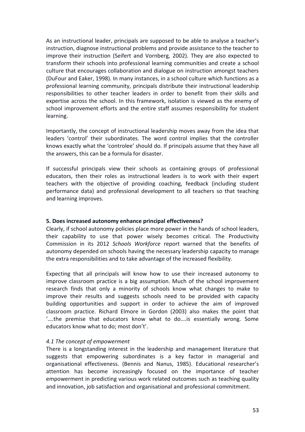As an instructional leader, principals are supposed to be able to analyse a teacher's instruction, diagnose instructional problems and provide assistance to the teacher to improve their instruction (Seifert and Vornberg, 2002). They are also expected to transform their schools into professional learning communities and create a school culture that encourages collaboration and dialogue on instruction amongst teachers (DuFour and Eaker, 1998). In many instances, in a school culture which functions as a professional learning community, principals distribute their instructional leadership responsibilities to other teacher leaders in order to benefit from their skills and expertise across the school. In this framework, isolation is viewed as the enemy of school improvement efforts and the entire staff assumes responsibility for student learning.

Importantly, the concept of instructional leadership moves away from the idea that leaders 'control' their subordinates. The word control implies that the controller knows exactly what the 'controlee' should do. If principals assume that they have all the answers, this can be a formula for disaster.

If successful principals view their schools as containing groups of professional educators, then their roles as instructional leaders is to work with their expert teachers with the objective of providing coaching, feedback (including student performance data) and professional development to all teachers so that teaching and learning improves.

## **5. Does increased autonomy enhance principal effectiveness?**

Clearly, if school autonomy policies place more power in the hands of school leaders, their capability to use that power wisely becomes critical. The Productivity Commission in its 2012 *Schools Workforce* report warned that the benefits of autonomy depended on schools having the necessary leadership capacity to manage the extra responsibilities and to take advantage of the increased flexibility.

Expecting that all principals will know how to use their increased autonomy to improve classroom practice is a big assumption. Much of the school improvement research finds that only a minority of schools know what changes to make to improve their results and suggests schools need to be provided with capacity building opportunities and support in order to achieve the aim of improved classroom practice. Richard Elmore in Gordon (2003) also makes the point that '….the premise that educators know what to do….is essentially wrong. Some educators know what to do; most don't'.

## *4.1 The concept of empowerment*

There is a longstanding interest in the leadership and management literature that suggests that empowering subordinates is a key factor in managerial and organisational effectiveness. (Bennis and Nanus, 1985). Educational researcher's attention has become increasingly focused on the importance of teacher empowerment in predicting various work related outcomes such as teaching quality and innovation, job satisfaction and organisational and professional commitment.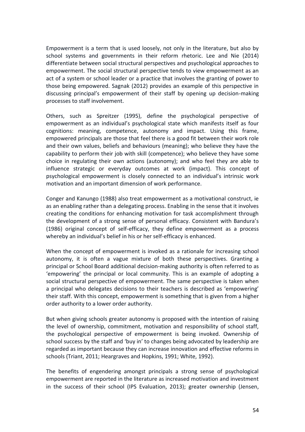Empowerment is a term that is used loosely, not only in the literature, but also by school systems and governments in their reform rhetoric. Lee and Nie (2014) differentiate between social structural perspectives and psychological approaches to empowerment. The social structural perspective tends to view empowerment as an act of a system or school leader or a practice that involves the granting of power to those being empowered. Sagnak (2012) provides an example of this perspective in discussing principal's empowerment of their staff by opening up decision-making processes to staff involvement.

Others, such as Spreitzer (1995), define the psychological perspective of empowerment as an individual's psychological state which manifests itself as four cognitions: meaning, competence, autonomy and impact. Using this frame, empowered principals are those that feel there is a good fit between their work role and their own values, beliefs and behaviours (meaning); who believe they have the capability to perform their job with skill (competence); who believe they have some choice in regulating their own actions (autonomy); and who feel they are able to influence strategic or everyday outcomes at work (impact). This concept of psychological empowerment is closely connected to an individual's intrinsic work motivation and an important dimension of work performance.

Conger and Kanungo (1988) also treat empowerment as a motivational construct, ie as an enabling rather than a delegating process. Enabling in the sense that it involves creating the conditions for enhancing motivation for task accomplishment through the development of a strong sense of personal efficacy. Consistent with Bandura's (1986) original concept of self-efficacy, they define empowerment as a process whereby an individual's belief in his or her self-efficacy is enhanced.

When the concept of empowerment is invoked as a rationale for increasing school autonomy, it is often a vague mixture of both these perspectives. Granting a principal or School Board additional decision-making authority is often referred to as 'empowering' the principal or local community. This is an example of adopting a social structural perspective of empowerment. The same perspective is taken when a principal who delegates decisions to their teachers is described as 'empowering' their staff. With this concept, empowerment is something that is given from a higher order authority to a lower order authority.

But when giving schools greater autonomy is proposed with the intention of raising the level of ownership, commitment, motivation and responsibility of school staff, the psychological perspective of empowerment is being invoked. Ownership of school success by the staff and 'buy in' to changes being advocated by leadership are regarded as important because they can increase innovation and effective reforms in schools (Triant, 2011; Heargraves and Hopkins, 1991; White, 1992).

The benefits of engendering amongst principals a strong sense of psychological empowerment are reported in the literature as increased motivation and investment in the success of their school (IPS Evaluation, 2013); greater ownership (Jensen,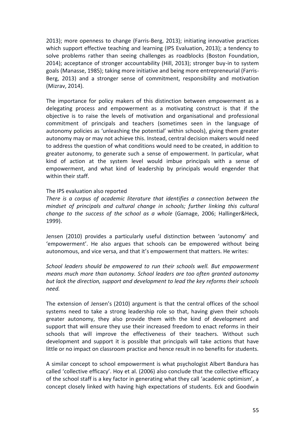2013); more openness to change (Farris-Berg, 2013); initiating innovative practices which support effective teaching and learning (IPS Evaluation, 2013); a tendency to solve problems rather than seeing challenges as roadblocks (Boston Foundation, 2014); acceptance of stronger accountability (Hill, 2013); stronger buy-in to system goals (Manasse, 1985); taking more initiative and being more entrepreneurial (Farris-Berg, 2013) and a stronger sense of commitment, responsibility and motivation (Mizrav, 2014).

The importance for policy makers of this distinction between empowerment as a delegating process and empowerment as a motivating construct is that if the objective is to raise the levels of motivation and organisational and professional commitment of principals and teachers (sometimes seen in the language of autonomy policies as 'unleashing the potential' within schools), giving them greater autonomy may or may not achieve this. Instead, central decision makers would need to address the question of what conditions would need to be created, in addition to greater autonomy, to generate such a sense of empowerment. In particular, what kind of action at the system level would imbue principals with a sense of empowerment, and what kind of leadership by principals would engender that within their staff.

#### The IPS evaluation also reported

*There is a corpus of academic literature that identifies a connection between the mindset of principals and cultural change in schools; further linking this cultural change to the success of the school as a whole* (Gamage, 2006; Hallinger&Heck, 1999).

Jensen (2010) provides a particularly useful distinction between 'autonomy' and 'empowerment'. He also argues that schools can be empowered without being autonomous, and vice versa, and that it's empowerment that matters. He writes:

*School leaders should be empowered to run their schools well. But empowerment means much more than autonomy. School leaders are too often granted autonomy but lack the direction, support and development to lead the key reforms their schools need.* 

The extension of Jensen's (2010) argument is that the central offices of the school systems need to take a strong leadership role so that, having given their schools greater autonomy, they also provide them with the kind of development and support that will ensure they use their increased freedom to enact reforms in their schools that will improve the effectiveness of their teachers. Without such development and support it is possible that principals will take actions that have little or no impact on classroom practice and hence result in no benefits for students.

A similar concept to school empowerment is what psychologist Albert Bandura has called 'collective efficacy'. Hoy et al. (2006) also conclude that the collective efficacy of the school staff is a key factor in generating what they call 'academic optimism', a concept closely linked with having high expectations of students. Eck and Goodwin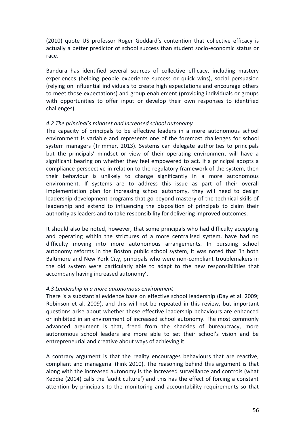(2010) quote US professor Roger Goddard's contention that collective efficacy is actually a better predictor of school success than student socio-economic status or race.

Bandura has identified several sources of collective efficacy, including mastery experiences (helping people experience success or quick wins), social persuasion (relying on influential individuals to create high expectations and encourage others to meet those expectations) and group enablement (providing individuals or groups with opportunities to offer input or develop their own responses to identified challenges).

## *4.2 The principal's mindset and increased school autonomy*

The capacity of principals to be effective leaders in a more autonomous school environment is variable and represents one of the foremost challenges for school system managers (Trimmer, 2013). Systems can delegate authorities to principals but the principals' mindset or view of their operating environment will have a significant bearing on whether they feel empowered to act. If a principal adopts a compliance perspective in relation to the regulatory framework of the system, then their behaviour is unlikely to change significantly in a more autonomous environment. If systems are to address this issue as part of their overall implementation plan for increasing school autonomy, they will need to design leadership development programs that go beyond mastery of the technical skills of leadership and extend to influencing the disposition of principals to claim their authority as leaders and to take responsibility for delivering improved outcomes.

It should also be noted, however, that some principals who had difficulty accepting and operating within the strictures of a more centralised system, have had no difficulty moving into more autonomous arrangements. In pursuing school autonomy reforms in the Boston public school system, it was noted that 'in both Baltimore and New York City, principals who were non-compliant troublemakers in the old system were particularly able to adapt to the new responsibilities that accompany having increased autonomy'.

## *4.3 Leadership in a more autonomous environment*

There is a substantial evidence base on effective school leadership (Day et al. 2009; Robinson et al. 2009), and this will not be repeated in this review, but important questions arise about whether these effective leadership behaviours are enhanced or inhibited in an environment of increased school autonomy. The most commonly advanced argument is that, freed from the shackles of bureaucracy, more autonomous school leaders are more able to set their school's vision and be entrepreneurial and creative about ways of achieving it.

A contrary argument is that the reality encourages behaviours that are reactive, compliant and managerial (Fink 2010). The reasoning behind this argument is that along with the increased autonomy is the increased surveillance and controls (what Keddie (2014) calls the 'audit culture') and this has the effect of forcing a constant attention by principals to the monitoring and accountability requirements so that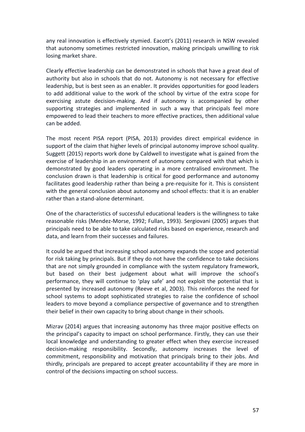any real innovation is effectively stymied. Eacott's (2011) research in NSW revealed that autonomy sometimes restricted innovation, making principals unwilling to risk losing market share.

Clearly effective leadership can be demonstrated in schools that have a great deal of authority but also in schools that do not. Autonomy is not necessary for effective leadership, but is best seen as an enabler. It provides opportunities for good leaders to add additional value to the work of the school by virtue of the extra scope for exercising astute decision-making. And if autonomy is accompanied by other supporting strategies and implemented in such a way that principals feel more empowered to lead their teachers to more effective practices, then additional value can be added.

The most recent PISA report (PISA, 2013) provides direct empirical evidence in support of the claim that higher levels of principal autonomy improve school quality. Suggett (2015) reports work done by Caldwell to investigate what is gained from the exercise of leadership in an environment of autonomy compared with that which is demonstrated by good leaders operating in a more centralised environment. The conclusion drawn is that leadership is critical for good performance and autonomy facilitates good leadership rather than being a pre-requisite for it. This is consistent with the general conclusion about autonomy and school effects: that it is an enabler rather than a stand-alone determinant.

One of the characteristics of successful educational leaders is the willingness to take reasonable risks (Mendez-Morse, 1992; Fullan, 1993). Sergiovani (2005) argues that principals need to be able to take calculated risks based on experience, research and data, and learn from their successes and failures.

It could be argued that increasing school autonomy expands the scope and potential for risk taking by principals. But if they do not have the confidence to take decisions that are not simply grounded in compliance with the system regulatory framework, but based on their best judgement about what will improve the school's performance, they will continue to 'play safe' and not exploit the potential that is presented by increased autonomy (Reeve et al, 2003). This reinforces the need for school systems to adopt sophisticated strategies to raise the confidence of school leaders to move beyond a compliance perspective of governance and to strengthen their belief in their own capacity to bring about change in their schools.

Mizrav (2014) argues that increasing autonomy has three major positive effects on the principal's capacity to impact on school performance. Firstly, they can use their local knowledge and understanding to greater effect when they exercise increased decision-making responsibility. Secondly, autonomy increases the level of commitment, responsibility and motivation that principals bring to their jobs. And thirdly, principals are prepared to accept greater accountability if they are more in control of the decisions impacting on school success.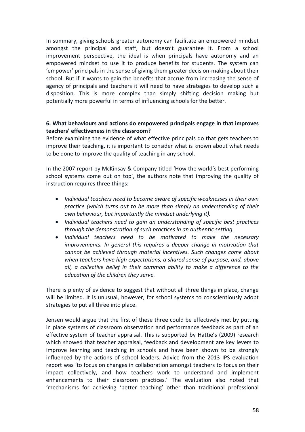In summary, giving schools greater autonomy can facilitate an empowered mindset amongst the principal and staff, but doesn't guarantee it. From a school improvement perspective, the ideal is when principals have autonomy and an empowered mindset to use it to produce benefits for students. The system can 'empower' principals in the sense of giving them greater decision-making about their school. But if it wants to gain the benefits that accrue from increasing the sense of agency of principals and teachers it will need to have strategies to develop such a disposition. This is more complex than simply shifting decision making but potentially more powerful in terms of influencing schools for the better.

## **6. What behaviours and actions do empowered principals engage in that improves teachers' effectiveness in the classroom?**

Before examining the evidence of what effective principals do that gets teachers to improve their teaching, it is important to consider what is known about what needs to be done to improve the quality of teaching in any school.

In the 2007 report by McKinsay & Company titled 'How the world's best performing school systems come out on top', the authors note that improving the quality of instruction requires three things:

- *Individual teachers need to become aware of specific weaknesses in their own practice (which turns out to be more than simply an understanding of their own behaviour, but importantly the mindset underlying it).*
- *Individual teachers need to gain an understanding of specific best practices through the demonstration of such practices in an authentic setting.*
- *Individual teachers need to be motivated to make the necessary improvements. In general this requires a deeper change in motivation that cannot be achieved through material incentives. Such changes come about when teachers have high expectations, a shared sense of purpose, and, above all, a collective belief in their common ability to make a difference to the education of the children they serve.*

There is plenty of evidence to suggest that without all three things in place, change will be limited. It is unusual, however, for school systems to conscientiously adopt strategies to put all three into place.

Jensen would argue that the first of these three could be effectively met by putting in place systems of classroom observation and performance feedback as part of an effective system of teacher appraisal. This is supported by Hattie's (2009) research which showed that teacher appraisal, feedback and development are key levers to improve learning and teaching in schools and have been shown to be strongly influenced by the actions of school leaders. Advice from the 2013 IPS evaluation report was 'to focus on changes in collaboration amongst teachers to focus on their impact collectively, and how teachers work to understand and implement enhancements to their classroom practices.' The evaluation also noted that 'mechanisms for achieving 'better teaching' other than traditional professional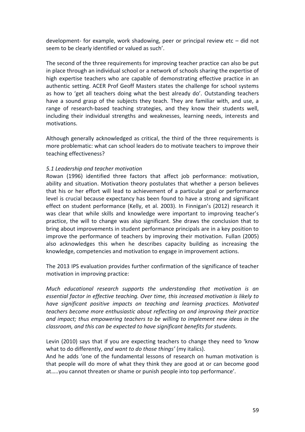development- for example, work shadowing, peer or principal review etc – did not seem to be clearly identified or valued as such'.

The second of the three requirements for improving teacher practice can also be put in place through an individual school or a network of schools sharing the expertise of high expertise teachers who are capable of demonstrating effective practice in an authentic setting. ACER Prof Geoff Masters states the challenge for school systems as how to 'get all teachers doing what the best already do'. Outstanding teachers have a sound grasp of the subjects they teach. They are familiar with, and use, a range of research-based teaching strategies, and they know their students well, including their individual strengths and weaknesses, learning needs, interests and motivations.

Although generally acknowledged as critical, the third of the three requirements is more problematic: what can school leaders do to motivate teachers to improve their teaching effectiveness?

## *5.1 Leadership and teacher motivation*

Rowan (1996) identified three factors that affect job performance: motivation, ability and situation. Motivation theory postulates that whether a person believes that his or her effort will lead to achievement of a particular goal or performance level is crucial because expectancy has been found to have a strong and significant effect on student performance (Kelly, et al. 2003). In Finnigan's (2012) research it was clear that while skills and knowledge were important to improving teacher's practice, the will to change was also significant. She draws the conclusion that to bring about improvements in student performance principals are in a key position to improve the performance of teachers by improving their motivation. Fullan (2005) also acknowledges this when he describes capacity building as increasing the knowledge, competencies and motivation to engage in improvement actions.

The 2013 IPS evaluation provides further confirmation of the significance of teacher motivation in improving practice:

*Much educational research supports the understanding that motivation is an essential factor in effective teaching. Over time, this increased motivation is likely to have significant positive impacts on teaching and learning practices. Motivated teachers become more enthusiastic about reflecting on and improving their practice and impact; thus empowering teachers to be willing to implement new ideas in the classroom, and this can be expected to have significant benefits for students.*

Levin (2010) says that if you are expecting teachers to change they need to 'know what to do differently, *and want to do those things'* (my italics).

And he adds 'one of the fundamental lessons of research on human motivation is that people will do more of what they think they are good at or can become good at…..you cannot threaten or shame or punish people into top performance'.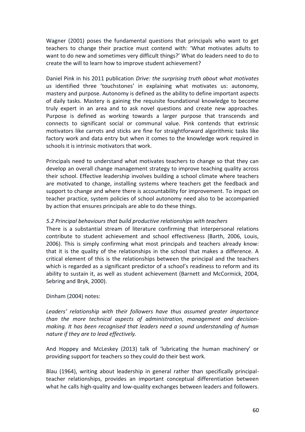Wagner (2001) poses the fundamental questions that principals who want to get teachers to change their practice must contend with: 'What motivates adults to want to do new and sometimes very difficult things?' What do leaders need to do to create the will to learn how to improve student achievement?

Daniel Pink in his 2011 publication *Drive: the surprising truth about what motivates us* identified three 'touchstones' in explaining what motivates us: autonomy, mastery and purpose. Autonomy is defined as the ability to define important aspects of daily tasks. Mastery is gaining the requisite foundational knowledge to become truly expert in an area and to ask novel questions and create new approaches. Purpose is defined as working towards a larger purpose that transcends and connects to significant social or communal value. Pink contends that extrinsic motivators like carrots and sticks are fine for straightforward algorithmic tasks like factory work and data entry but when it comes to the knowledge work required in schools it is intrinsic motivators that work.

Principals need to understand what motivates teachers to change so that they can develop an overall change management strategy to improve teaching quality across their school. Effective leadership involves building a school climate where teachers are motivated to change, installing systems where teachers get the feedback and support to change and where there is accountability for improvement. To impact on teacher practice, system policies of school autonomy need also to be accompanied by action that ensures principals are able to do these things.

## *5.2 Principal behaviours that build productive relationships with teachers*

There is a substantial stream of literature confirming that interpersonal relations contribute to student achievement and school effectiveness (Barth, 2006, Louis, 2006). This is simply confirming what most principals and teachers already know: that it is the quality of the relationships in the school that makes a difference. A critical element of this is the relationships between the principal and the teachers which is regarded as a significant predictor of a school's readiness to reform and its ability to sustain it, as well as student achievement (Barnett and McCormick, 2004, Sebring and Bryk, 2000).

## Dinham (2004) notes:

*Leaders' relationship with their followers have thus assumed greater importance than the more technical aspects of administration, management and decisionmaking. It has been recognised that leaders need a sound understanding of human nature if they are to lead effectively.* 

And Hoppey and McLeskey (2013) talk of 'lubricating the human machinery' or providing support for teachers so they could do their best work.

Blau (1964), writing about leadership in general rather than specifically principalteacher relationships, provides an important conceptual differentiation between what he calls high-quality and low-quality exchanges between leaders and followers.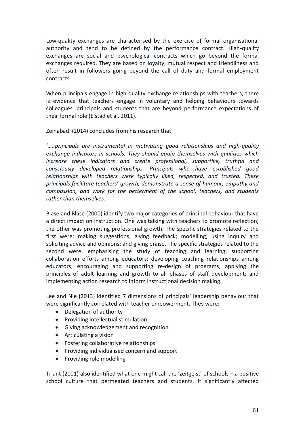Low-quality exchanges are characterised by the exercise of formal organisational authority and tend to be defined by the performance contract. High-quality exchanges are social and psychological contracts which go beyond the formal exchanges required. They are based on loyalty, mutual respect and friendliness and often result in followers going beyond the call of duty and formal employment contracts.

When principals engage in high-quality exchange relationships with teachers, there is evidence that teachers engage in voluntary and helping behaviours towards colleagues, principals and students that are beyond performance expectations of their formal role (Elstad et al. 2011).

## Zeinabadi (2014) concludes from his research that

*'…..principals are instrumental in motivating good relationships and high-quality exchange indicators in schools. They should equip themselves with qualities which increase these indicators and create professional, supportive, truthful and consciously developed relationships. Principals who have established good relationships with teachers were typically liked, respected, and trusted. These principals facilitate teachers' growth, demonstrate a sense of humour, empathy and compassion, and work for the betterment of the school, teachers, and students rather than themselves.*

Blase and Blase (2000) identify two major categories of principal behaviour that have a direct impact on instruction. One was talking with teachers to promote reflection; the other was promoting professional growth. The specific strategies related to the first were: making suggestions; giving feedback; modelling; using inquiry and soliciting advice and opinions; and giving praise. The specific strategies related to the second were: emphasising the study of teaching and learning; supporting collaboration efforts among educators; developing coaching relationships among educators; encouraging and supporting re-design of programs; applying the principles of adult learning and growth to all phases of staff development; and implementing action research to inform instructional decision making.

Lee and Nie (2013) identified 7 dimensions of principals' leadership behaviour that were significantly correlated with teacher empowerment. They were:

- Delegation of authority
- Providing intellectual stimulation
- Giving acknowledgement and recognition
- Articulating a vision
- Fostering collaborative relationships
- Providing individualised concern and support
- Providing role modelling

Triant (2001) also identified what one might call the 'zeitgeist' of schools – a positive school culture that permeated teachers and students. It significantly affected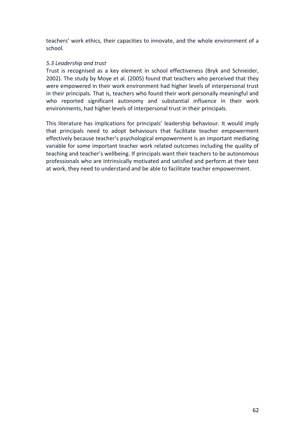teachers' work ethics, their capacities to innovate, and the whole environment of a school.

## *5.3 Leadership and trust*

Trust is recognised as a key element in school effectiveness (Bryk and Schneider, 2002). The study by Moye et al. (2005) found that teachers who perceived that they were empowered in their work environment had higher levels of interpersonal trust in their principals. That is, teachers who found their work personally meaningful and who reported significant autonomy and substantial influence in their work environments, had higher levels of interpersonal trust in their principals.

This literature has implications for principals' leadership behaviour. It would imply that principals need to adopt behaviours that facilitate teacher empowerment effectively because teacher's psychological empowerment is an important mediating variable for some important teacher work related outcomes including the quality of teaching and teacher's wellbeing. If principals want their teachers to be autonomous professionals who are intrinsically motivated and satisfied and perform at their best at work, they need to understand and be able to facilitate teacher empowerment.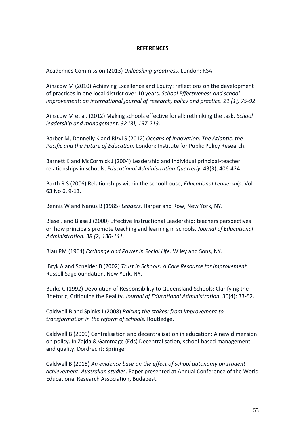#### **REFERENCES**

Academies Commission (2013) *Unleashing greatness.* London: RSA.

Ainscow M (2010) Achieving Excellence and Equity: reflections on the development of practices in one local district over 10 years. *School Effectiveness and school improvement: an international journal of research, policy and practice. 21 (1), 75-92.*

Ainscow M et al. (2012) Making schools effective for all: rethinking the task. *School leadership and management. 32 (3), 197-213.*

Barber M, Donnelly K and Rizvi S (2012) *Oceans of Innovation: The Atlantic, the Pacific and the Future of Education.* London: Institute for Public Policy Research.

Barnett K and McCormick J (2004) Leadership and individual principal-teacher relationships in schools, *Educational Administration Quarterly.* 43(3), 406-424.

Barth R S (2006) Relationships within the schoolhouse, *Educational Leadership*. Vol 63 No 6, 9-13.

Bennis W and Nanus B (1985) *Leaders.* Harper and Row, New York, NY.

Blase J and Blase J (2000) Effective Instructional Leadership: teachers perspectives on how principals promote teaching and learning in schools. *Journal of Educational Administration. 38 (2) 130-141.*

Blau PM (1964) *Exchange and Power in Social Life.* Wiley and Sons, NY.

Bryk A and Scneider B (2002) *Trust in Schools: A Core Resource for Improvement.*  Russell Sage oundation, New York, NY.

Burke C (1992) Devolution of Responsibility to Queensland Schools: Clarifying the Rhetoric, Critiquing the Reality. *Journal of Educational Administration*. 30(4): 33-52.

Caldwell B and Spinks J (2008) *Raising the stakes: from improvement to transformation in the reform of schools.* Routledge.

Caldwell B (2009) Centralisation and decentralisation in education: A new dimension on policy. In Zajda & Gammage (Eds) Decentralisation, school-based management, and quality. Dordrecht: Springer.

Caldwell B (2015) *An evidence base on the effect of school autonomy on student achievement: Australian studies*. Paper presented at Annual Conference of the World Educational Research Association, Budapest.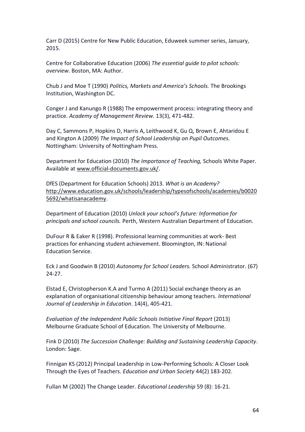Carr D (2015) Centre for New Public Education, Eduweek summer series, January, 2015.

Centre for Collaborative Education (2006) *The essential guide to pilot schools: overview.* Boston, MA: Author.

Chub J and Moe T (1990) *Politics, Markets and America's Schools.* The Brookings Institution, Washington DC.

Conger J and Kanungo R (1988) The empowerment process: integrating theory and practice. *Academy of Management Review.* 13(3), 471-482.

Day C, Sammons P, Hopkins D, Harris A, Leithwood K, Gu Q, Brown E, Ahtaridou E and Kington A (2009) *The Impact of School Leadership on Pupil Outcomes.*  Nottingham: University of Nottingham Press.

Department for Education (2010) *The Importance of Teaching,* Schools White Paper. Available at [www.official-documents.gov.uk/.](http://www.official-documents.gov.uk/)

DfES (Department for Education Schools) 2013. *What is an Academy?*  [http://www.education.gov.uk/schools/leadership/typesofschools/academies/b0020](http://www.education.gov.uk/schools/leadership/typesofschools/academies/b00205692/whatisanacademy) [5692/whatisanacademy.](http://www.education.gov.uk/schools/leadership/typesofschools/academies/b00205692/whatisanacademy)

Department of Education (2010) *Unlock your school's future: Information for principals and school councils.* Perth, Western Australian Department of Education.

DuFour R & Eaker R (1998). Professional learning communities at work- Best practices for enhancing student achievement. Bloomington, IN: National Education Service.

Eck J and Goodwin B (2010) *Autonomy for School Leaders.* School Administrator. (67) 24-27.

Elstad E, Christopherson K.A and Turmo A (2011) Social exchange theory as an explanation of organisational citizenship behaviour among teachers. *International Journal of Leadership in Education*. 14(4), 405-421.

*Evaluation of the Independent Public Schools Initiative Final Report* (2013) Melbourne Graduate School of Education. The University of Melbourne.

Fink D (2010) *The Succession Challenge: Building and Sustaining Leadership Capacity*. London: Sage.

Finnigan KS (2012) Principal Leadership in Low-Performing Schools: A Closer Look Through the Eyes of Teachers. *Education and Urban Society* 44(2) 183-202.

Fullan M (2002) The Change Leader. *Educational Leadership* 59 (8): 16-21.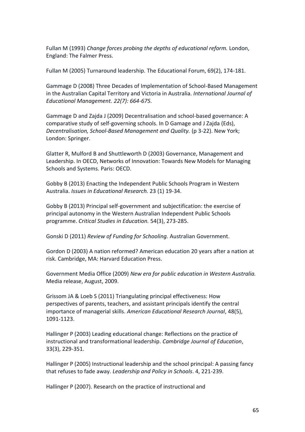Fullan M (1993) *Change forces probing the depths of educational reform.* London, England: The Falmer Press.

Fullan M (2005) Turnaround leadership. The Educational Forum, 69(2), 174-181.

Gammage D (2008) Three Decades of Implementation of School-Based Management in the Australian Capital Territory and Victoria in Australia. *International Journal of Educational Management. 22(7): 664-675.*

Gammage D and Zajda J (2009) Decentralisation and school-based governance: A comparative study of self-governing schools. In D Gamage and J Zajda (Eds), *Decentralisation, School-Based Management and Quality.* (p 3-22). New York; London: Springer.

Glatter R, Mulford B and Shuttleworth D (2003) Governance, Management and Leadership. In OECD, Networks of Innovation: Towards New Models for Managing Schools and Systems. Paris: OECD.

Gobby B (2013) Enacting the Independent Public Schools Program in Western Australia. *Issues in Educational Research.* 23 (1) 19-34.

Gobby B (2013) Principal self-government and subjectification: the exercise of principal autonomy in the Western Australian Independent Public Schools programme. *Critical Studies in Education.* 54(3), 273-285.

Gonski D (2011) *Review of Funding for Schooling.* Australian Government.

Gordon D (2003) A nation reformed? American education 20 years after a nation at risk. Cambridge, MA: Harvard Education Press.

Government Media Office (2009) *New era for public education in Western Australia.* Media release, August, 2009.

Grissom JA & Loeb S (2011) Triangulating principal effectiveness: How perspectives of parents, teachers, and assistant principals identify the central importance of managerial skills. *American Educational Research Journal*, 48(5), 1091-1123.

Hallinger P (2003) Leading educational change: Reflections on the practice of instructional and transformational leadership. *Cambridge Journal of Education*, 33(3), 229-351.

Hallinger P (2005) Instructional leadership and the school principal: A passing fancy that refuses to fade away. *Leadership and Policy in Schools*. 4, 221-239.

Hallinger P (2007). Research on the practice of instructional and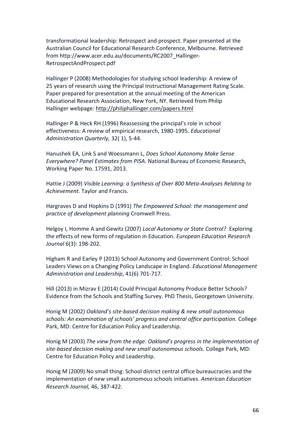transformational leadership: Retrospect and prospect. Paper presented at the Australian Council for Educational Research Conference, Melbourne. Retrieved from http://www.acer.edu.au/documents/RC2007\_Hallinger-RetrospectAndProspect.pdf

Hallinger P (2008) Methodologies for studying school leadership: A review of 25 years of research using the Principal Instructional Management Rating Scale. Paper prepared for presentation at the annual meeting of the American Educational Research Association, New York, NY. Retrieved from Philip Hallinger webpage:<http://philiphallinger.com/papers.html>

Hallinger P & Heck RH (1996) Reassessing the principal's role in school effectiveness: A review of empirical research, 1980-1995. *Educational Administration Quarterly,* 32( 1), 5-44.

Hanushek EA, Link S and Woessmann L, *Does School Autonomy Make Sense Everywhere? Panel Estimates from PISA.* National Bureau of Economic Research, Working Paper No. 17591, 2013.

Hattie J (2009) *Visible Learning: a Synthesis of Over 800 Meta-Analyses Relating to Achievement.* Taylor and Francis.

Hargraves D and Hopkins D (1991) *The Empowered School: the management and practice of development planning* Cromwell Press.

Helgoy I, Homme A and Gewitz (2007) *Local Autonomy or State Control?* Exploring the effects of new forms of regulation in Education. *European Education Research Journal* 6(3): 198-202.

Higham R and Earley P (2013) School Autonomy and Government Control: School Leaders Views on a Changing Policy Landscape in England*. Educational Management Administration and Leadership*, 41(6) 701-717.

Hill (2013) in Mizrav E (2014) Could Principal Autonomy Produce Better Schools? Evidence from the Schools and Staffing Survey. PhD Thesis, Georgetown University.

Honig M (2002) *Oakland's site-based decision making & new small autonomous schools: An examination of schools' progress and central office participation.* College Park, MD: Centre for Education Policy and Leadership.

Honig M (2003) *The view from the edge: Oakland's progress in the implementation of site-based decision making and new small autonomous schools.* College Park, MD: Centre for Education Policy and Leadership.

Honig M (2009) No small thing: School district central office bureaucracies and the implementation of new small autonomous schools initiatives. *American Education Research Journal,* 46, 387-422.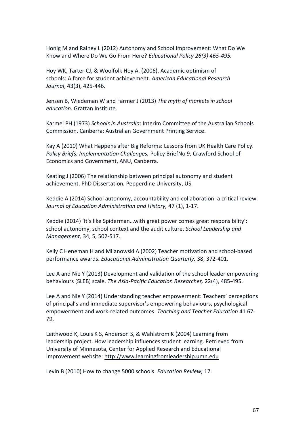Honig M and Rainey L (2012) Autonomy and School Improvement: What Do We Know and Where Do We Go From Here? *Educational Policy 26(3) 465-495.*

Hoy WK, Tarter CJ, & Woolfolk Hoy A. (2006). Academic optimism of schools: A force for student achievement. *American Educational Research Journal*, 43(3), 425-446.

Jensen B, Wiedeman W and Farmer J (2013) *The myth of markets in school education.* Grattan Institute.

Karmel PH (1973) *Schools in Australia*: Interim Committee of the Australian Schools Commission. Canberra: Australian Government Printing Service.

Kay A (2010) What Happens after Big Reforms: Lessons from UK Health Care Policy. *Policy Briefs: Implementation Challenges,* Policy BriefNo 9, Crawford School of Economics and Government, ANU, Canberra.

Keating J (2006) The relationship between principal autonomy and student achievement. PhD Dissertation, Pepperdine University, US.

Keddie A (2014) School autonomy, accountability and collaboration: a critical review*. Journal of Education Administration and History,* 47 (1), 1-17.

Keddie (2014) 'It's like Spiderman…with great power comes great responsibility': school autonomy, school context and the audit culture. *School Leadership and Management,* 34, 5, 502-517.

Kelly C Heneman H and Milanowski A (2002) Teacher motivation and school-based performance awards. *Educational Administration Quarterly,* 38, 372-401.

Lee A and Nie Y (2013) Development and validation of the school leader empowering behaviours (SLEB) scale. *The Asia-Pacific Education Researcher,* 22(4), 485-495.

Lee A and Nie Y (2014) Understanding teacher empowerment: Teachers' perceptions of principal's and immediate supervisor's empowering behaviours, psychological empowerment and work-related outcomes. *Teaching and Teacher Education* 41 67- 79.

Leithwood K, Louis K S, Anderson S, & Wahlstrom K (2004) Learning from leadership project. How leadership influences student learning. Retrieved from University of Minnesota, Center for Applied Research and Educational Improvement website: [http://www.learningfromleadership.umn.edu](http://www.learningfromleadership.umn.edu/)

Levin B (2010) How to change 5000 schools. *Education Review,* 17.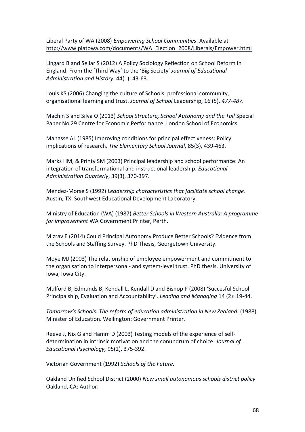Liberal Party of WA (2008) *Empowering School Communities*. Available at [http://www.platowa.com/documents/WA\\_Election\\_2008/Liberals/Empower.html](http://www.platowa.com/documents/WA_Election_2008/Liberals/Empower.html)

Lingard B and Sellar S (2012) A Policy Sociology Reflection on School Reform in England: From the 'Third Way' to the 'Big Society' *Journal of Educational Administration and History.* 44(1): 43-63.

Louis KS (2006) Changing the culture of Schools: professional community, organisational learning and trust. *Journal of School* Leadership, 16 (5), *477-487.*

Machin S and Silva O (2013) *School Structure, School Autonomy and the Tail* Special Paper No 29 Centre for Economic Performance. London School of Economics.

Manasse AL (1985) Improving conditions for principal effectiveness: Policy implications of research. *The Elementary School Journal*, 85(3), 439-463.

Marks HM, & Printy SM (2003) Principal leadership and school performance: An integration of transformational and instructional leadership. *Educational Administration Quarterly*, 39(3), 370-397.

Mendez-Morse S (1992) *Leadership characteristics that facilitate school change*. Austin, TX: Southwest Educational Development Laboratory.

Ministry of Education (WA) (1987) *Better Schools in Western Australia: A programme for improvement* WA Government Printer, Perth.

Mizrav E (2014) Could Principal Autonomy Produce Better Schools? Evidence from the Schools and Staffing Survey. PhD Thesis, Georgetown University.

Moye MJ (2003) The relationship of employee empowerment and commitment to the organisation to interpersonal- and system-level trust. PhD thesis, University of Iowa, Iowa City.

Mulford B, Edmunds B, Kendall L, Kendall D and Bishop P (2008) 'Succesful School Principalship, Evaluation and Accountability'. *Leading and Managing* 14 (2): 19-44.

*Tomorrow's Schools: The reform of education administration in New Zealand.* (1988) Minister of Education. Wellington: Government Printer.

Reeve J, Nix G and Hamm D (2003) Testing models of the experience of selfdetermination in intrinsic motivation and the conundrum of choice. *Journal of Educational Psychology,* 95(2), 375-392.

Victorian Government (1992) *Schools of the Future.*

Oakland Unified School District (2000) *New small autonomous schools district policy*  Oakland, CA: Author.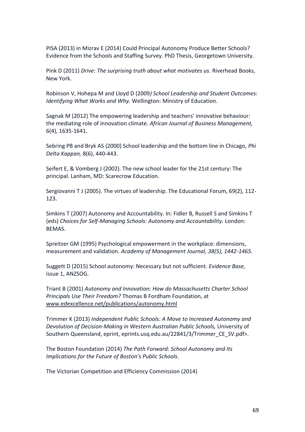PISA (2013) in Mizrav E (2014) Could Principal Autonomy Produce Better Schools? Evidence from the Schools and Staffing Survey. PhD Thesis, Georgetown University.

Pink D (2011) *Drive: The surprising truth about what motivates us.* Riverhead Books, New York.

Robinson V, Hohepa M and Lloyd D (2009*) School Leadership and Student Outcomes: Identifying What Works and Why.* Wellington: Ministry of Education.

Sagnak M (2012) The empowering leadership and teachers' innovative behaviour: the mediating role of innovation climate. *African Journal of Business Management,*  6(4), 1635-1641.

Sebring PB and Bryk AS (2000) School leadership and the bottom line in Chicago, *Phi Delta Kappan,* 8(6), 440-443.

Seifert E, & Vomberg J (2002). The new school leader for the 21st century: The principal. Lanham, MD: Scarecrow Education.

Sergiovanni T J (2005). The virtues of leadership. The Educational Forum, 69(2), 112- 123.

Simkins T (2007) Autonomy and Accountability. In: Fidler B, Russell S and Simkins T (eds) *Choices for Self-Managing Schools: Autonomy and Accountability.* London: BEMAS.

Spreitzer GM (1995) Psychological empowerment in the workplace: dimensions, measurement and validation. *Academy of Management Journal, 38(5), 1442-1465.*

Suggett D (2015) School autonomy: Necessary but not sufficient. *Evidence Base,*  issue 1, ANZSOG.

Triant B (2001) *Autonomy and Innovation: How do Massachusetts Charter School Principals Use Their Freedom?* Thomas B Fordham Foundation, at [www.edexcellence.net/publications/autonomy.html](http://www.edexcellence.net/publications/autonomy.html)

Trimmer K (2013) *Independent Public Schools: A Move to Increased Autonomy and Devolution of Decision-Making in Western Australian Public Schools,* University of Southern Queensland, eprint, eprints.usq.edu.au/22841/3/Trimmer\_CE\_SV.pdf>.

The Boston Foundation (2014) *The Path Forward: School Autonomy and Its Implications for the Future of Boston's Public Schools*.

The Victorian Competition and Efficiency Commission (2014)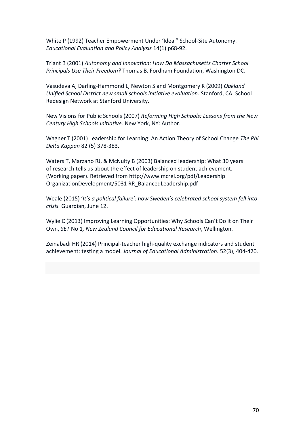White P (1992) Teacher Empowerment Under 'Ideal" School-Site Autonomy. *Educational Evaluation and Policy Analysis* 14(1) p68-92.

Triant B (2001) *Autonomy and Innovation: How Do Massachusetts Charter School Principals Use Their Freedom?* Thomas B. Fordham Foundation, Washington DC.

Vasudeva A, Darling-Hammond L, Newton S and Montgomery K (2009) *Oakland Unified School District new small schools initiative evaluation.* Stanford, CA: School Redesign Network at Stanford University.

New Visions for Public Schools (2007) *Reforming High Schools: Lessons from the New Century High Schools initiative.* New York, NY: Author.

Wagner T (2001) Leadership for Learning: An Action Theory of School Change *The Phi Delta Kappan* 82 (5) 378-383.

Waters T, Marzano RJ, & McNulty B (2003) Balanced leadership: What 30 years of research tells us about the effect of leadership on student achievement. (Working paper). Retrieved from http://www.mcrel.org/pdf/Leadership OrganizationDevelopment/5031 RR\_BalancedLeadership.pdf

Weale (2015) '*It's a political failure': how Sweden's celebrated school system fell into crisis.* Guardian, June 12.

Wylie C (2013) Improving Learning Opportunities: Why Schools Can't Do it on Their Own, *SET* No 1*, New Zealand Council for Educational Research*, Wellington.

Zeinabadi HR (2014) Principal-teacher high-quality exchange indicators and student achievement: testing a model. *Journal of Educational Administration.* 52(3), 404-420.